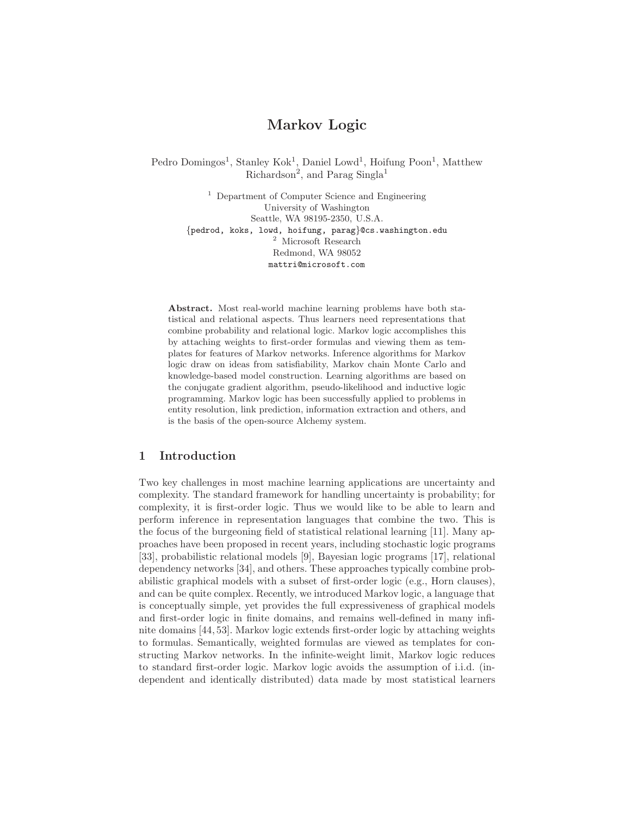# Markov Logic

Pedro Domingos<sup>1</sup>, Stanley Kok<sup>1</sup>, Daniel Lowd<sup>1</sup>, Hoifung Poon<sup>1</sup>, Matthew Richardson<sup>2</sup>, and Parag Singla<sup>1</sup>

<sup>1</sup> Department of Computer Science and Engineering University of Washington Seattle, WA 98195-2350, U.S.A. {pedrod, koks, lowd, hoifung, parag}@cs.washington.edu <sup>2</sup> Microsoft Research Redmond, WA 98052 mattri@microsoft.com

Abstract. Most real-world machine learning problems have both statistical and relational aspects. Thus learners need representations that combine probability and relational logic. Markov logic accomplishes this by attaching weights to first-order formulas and viewing them as templates for features of Markov networks. Inference algorithms for Markov logic draw on ideas from satisfiability, Markov chain Monte Carlo and knowledge-based model construction. Learning algorithms are based on the conjugate gradient algorithm, pseudo-likelihood and inductive logic programming. Markov logic has been successfully applied to problems in entity resolution, link prediction, information extraction and others, and is the basis of the open-source Alchemy system.

# 1 Introduction

Two key challenges in most machine learning applications are uncertainty and complexity. The standard framework for handling uncertainty is probability; for complexity, it is first-order logic. Thus we would like to be able to learn and perform inference in representation languages that combine the two. This is the focus of the burgeoning field of statistical relational learning [11]. Many approaches have been proposed in recent years, including stochastic logic programs [33], probabilistic relational models [9], Bayesian logic programs [17], relational dependency networks [34], and others. These approaches typically combine probabilistic graphical models with a subset of first-order logic (e.g., Horn clauses), and can be quite complex. Recently, we introduced Markov logic, a language that is conceptually simple, yet provides the full expressiveness of graphical models and first-order logic in finite domains, and remains well-defined in many infinite domains [44, 53]. Markov logic extends first-order logic by attaching weights to formulas. Semantically, weighted formulas are viewed as templates for constructing Markov networks. In the infinite-weight limit, Markov logic reduces to standard first-order logic. Markov logic avoids the assumption of i.i.d. (independent and identically distributed) data made by most statistical learners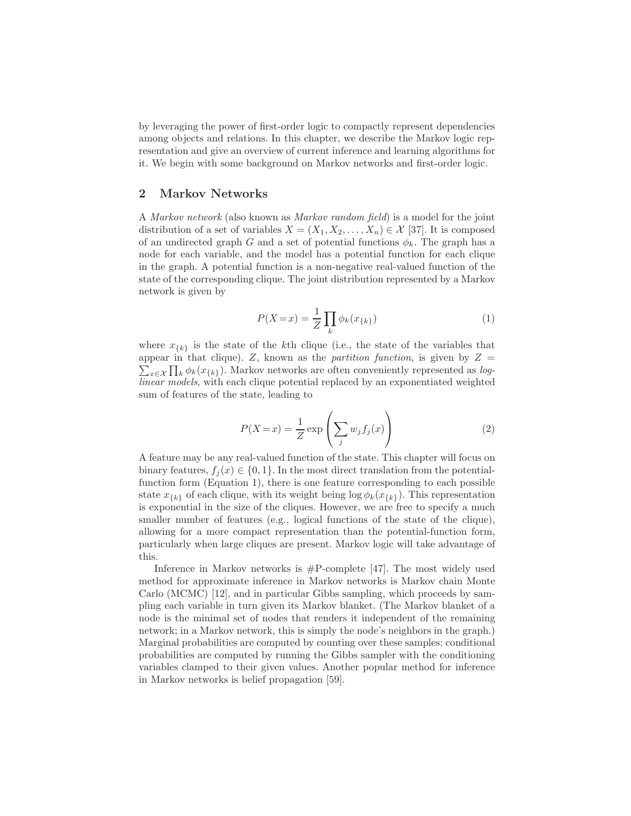by leveraging the power of first-order logic to compactly represent dependencies among objects and relations. In this chapter, we describe the Markov logic representation and give an overview of current inference and learning algorithms for it. We begin with some background on Markov networks and first-order logic.

### 2 Markov Networks

A Markov network (also known as Markov random field) is a model for the joint distribution of a set of variables  $X = (X_1, X_2, \ldots, X_n) \in \mathcal{X}$  [37]. It is composed of an undirected graph G and a set of potential functions  $\phi_k$ . The graph has a node for each variable, and the model has a potential function for each clique in the graph. A potential function is a non-negative real-valued function of the state of the corresponding clique. The joint distribution represented by a Markov network is given by

$$
P(X=x) = \frac{1}{Z} \prod_{k} \phi_k(x_{\{k\}})
$$
\n<sup>(1)</sup>

where  $x_{\{k\}}$  is the state of the kth clique (i.e., the state of the variables that  $\sum_{x \in \mathcal{X}} \prod_k \phi_k(x_{\{k\}})$ . Markov networks are often conveniently represented as logappear in that clique). Z, known as the partition function, is given by  $Z =$ linear models, with each clique potential replaced by an exponentiated weighted sum of features of the state, leading to

$$
P(X=x) = \frac{1}{Z} \exp\left(\sum_{j} w_j f_j(x)\right)
$$
 (2)

A feature may be any real-valued function of the state. This chapter will focus on binary features,  $f_i(x) \in \{0, 1\}$ . In the most direct translation from the potentialfunction form (Equation 1), there is one feature corresponding to each possible state  $x_{\{k\}}$  of each clique, with its weight being  $\log \phi_k(x_{\{k\}})$ . This representation is exponential in the size of the cliques. However, we are free to specify a much smaller number of features (e.g., logical functions of the state of the clique), allowing for a more compact representation than the potential-function form, particularly when large cliques are present. Markov logic will take advantage of this.

Inference in Markov networks is  $\#P$ -complete [47]. The most widely used method for approximate inference in Markov networks is Markov chain Monte Carlo (MCMC) [12], and in particular Gibbs sampling, which proceeds by sampling each variable in turn given its Markov blanket. (The Markov blanket of a node is the minimal set of nodes that renders it independent of the remaining network; in a Markov network, this is simply the node's neighbors in the graph.) Marginal probabilities are computed by counting over these samples; conditional probabilities are computed by running the Gibbs sampler with the conditioning variables clamped to their given values. Another popular method for inference in Markov networks is belief propagation [59].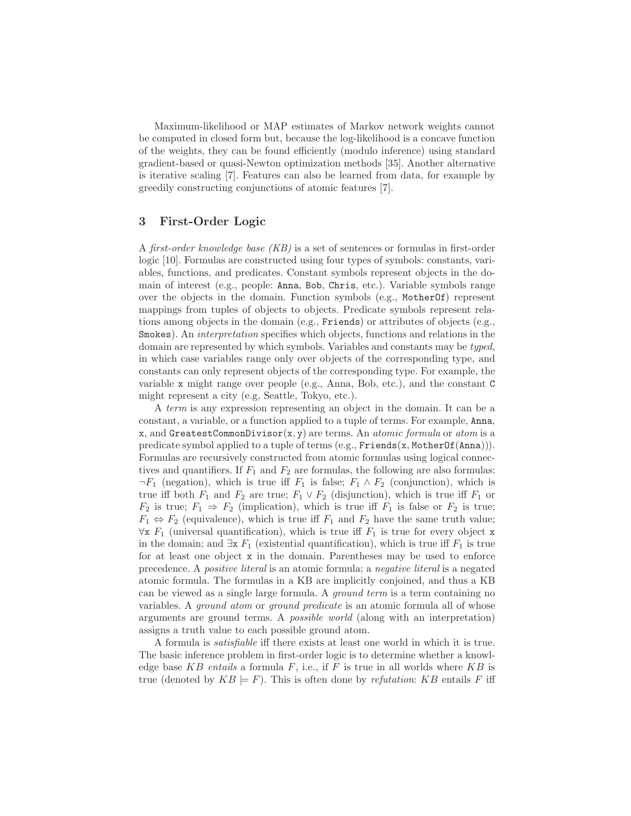Maximum-likelihood or MAP estimates of Markov network weights cannot be computed in closed form but, because the log-likelihood is a concave function of the weights, they can be found efficiently (modulo inference) using standard gradient-based or quasi-Newton optimization methods [35]. Another alternative is iterative scaling [7]. Features can also be learned from data, for example by greedily constructing conjunctions of atomic features [7].

## 3 First-Order Logic

A first-order knowledge base (KB) is a set of sentences or formulas in first-order logic [10]. Formulas are constructed using four types of symbols: constants, variables, functions, and predicates. Constant symbols represent objects in the domain of interest (e.g., people: Anna, Bob, Chris, etc.). Variable symbols range over the objects in the domain. Function symbols (e.g., MotherOf) represent mappings from tuples of objects to objects. Predicate symbols represent relations among objects in the domain (e.g., Friends) or attributes of objects (e.g., Smokes). An interpretation specifies which objects, functions and relations in the domain are represented by which symbols. Variables and constants may be typed, in which case variables range only over objects of the corresponding type, and constants can only represent objects of the corresponding type. For example, the variable x might range over people (e.g., Anna, Bob, etc.), and the constant C might represent a city (e.g, Seattle, Tokyo, etc.).

A term is any expression representing an object in the domain. It can be a constant, a variable, or a function applied to a tuple of terms. For example, Anna, x, and GreatestCommonDivisor $(x, y)$  are terms. An *atomic formula* or *atom* is a predicate symbol applied to a tuple of terms (e.g., Friends(x, MotherOf(Anna))). Formulas are recursively constructed from atomic formulas using logical connectives and quantifiers. If  $F_1$  and  $F_2$  are formulas, the following are also formulas:  $\neg F_1$  (negation), which is true iff  $F_1$  is false;  $F_1 \wedge F_2$  (conjunction), which is true iff both  $F_1$  and  $F_2$  are true;  $F_1 \vee F_2$  (disjunction), which is true iff  $F_1$  or  $F_2$  is true;  $F_1 \Rightarrow F_2$  (implication), which is true iff  $F_1$  is false or  $F_2$  is true;  $F_1 \Leftrightarrow F_2$  (equivalence), which is true iff  $F_1$  and  $F_2$  have the same truth value;  $\forall x \ F_1$  (universal quantification), which is true iff  $F_1$  is true for every object x in the domain; and  $\exists x F_1$  (existential quantification), which is true iff  $F_1$  is true for at least one object x in the domain. Parentheses may be used to enforce precedence. A positive literal is an atomic formula; a negative literal is a negated atomic formula. The formulas in a KB are implicitly conjoined, and thus a KB can be viewed as a single large formula. A ground term is a term containing no variables. A ground atom or ground predicate is an atomic formula all of whose arguments are ground terms. A possible world (along with an interpretation) assigns a truth value to each possible ground atom.

A formula is satisfiable iff there exists at least one world in which it is true. The basic inference problem in first-order logic is to determine whether a knowledge base  $KB$  entails a formula  $F$ , i.e., if  $F$  is true in all worlds where  $KB$  is true (denoted by  $KB \models F$ ). This is often done by *refutation:* KB entails F iff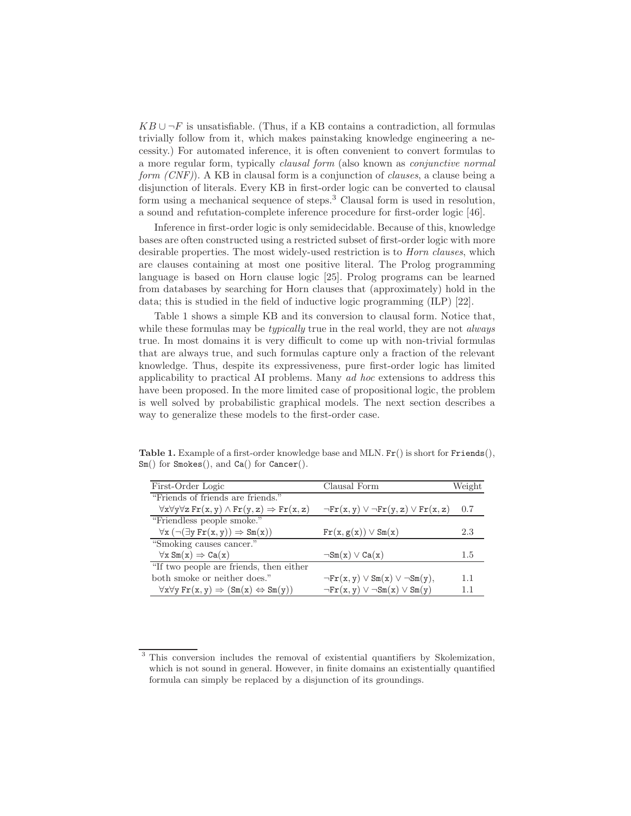$KB \cup \neg F$  is unsatisfiable. (Thus, if a KB contains a contradiction, all formulas trivially follow from it, which makes painstaking knowledge engineering a necessity.) For automated inference, it is often convenient to convert formulas to a more regular form, typically clausal form (also known as conjunctive normal form  $(CNF)$ . A KB in clausal form is a conjunction of *clauses*, a clause being a disjunction of literals. Every KB in first-order logic can be converted to clausal form using a mechanical sequence of steps.<sup>3</sup> Clausal form is used in resolution, a sound and refutation-complete inference procedure for first-order logic [46].

Inference in first-order logic is only semidecidable. Because of this, knowledge bases are often constructed using a restricted subset of first-order logic with more desirable properties. The most widely-used restriction is to Horn clauses, which are clauses containing at most one positive literal. The Prolog programming language is based on Horn clause logic [25]. Prolog programs can be learned from databases by searching for Horn clauses that (approximately) hold in the data; this is studied in the field of inductive logic programming (ILP) [22].

Table 1 shows a simple KB and its conversion to clausal form. Notice that, while these formulas may be *typically* true in the real world, they are not *always* true. In most domains it is very difficult to come up with non-trivial formulas that are always true, and such formulas capture only a fraction of the relevant knowledge. Thus, despite its expressiveness, pure first-order logic has limited applicability to practical AI problems. Many ad hoc extensions to address this have been proposed. In the more limited case of propositional logic, the problem is well solved by probabilistic graphical models. The next section describes a way to generalize these models to the first-order case.

| First-Order Logic                                                                                                         | Clausal Form                                     | Weight  |
|---------------------------------------------------------------------------------------------------------------------------|--------------------------------------------------|---------|
| "Friends of friends are friends."                                                                                         |                                                  |         |
| $\forall x \forall y \forall z \operatorname{Fr}(x, y) \land \operatorname{Fr}(y, z) \Rightarrow \operatorname{Fr}(x, z)$ | $\neg Fr(x, y) \lor \neg Fr(y, z) \lor Fr(x, z)$ | 0.7     |
| "Friendless people smoke."                                                                                                |                                                  |         |
| $\forall x (\neg (\exists y \ Fr(x, y)) \Rightarrow Sm(x))$                                                               | $Fr(x, g(x)) \vee Sm(x)$                         | 2.3     |
| "Smoking causes cancer."                                                                                                  |                                                  |         |
| $\forall x Sm(x) \Rightarrow Ca(x)$                                                                                       | $\neg Sm(x) \vee Ca(x)$                          | $1.5\,$ |
| "If two people are friends, then either                                                                                   |                                                  |         |
| both smoke or neither does."                                                                                              | $\neg Fr(x, y) \lor Sm(x) \lor \neg Sm(y),$      | 1.1     |
| $\forall x \forall y$ $\text{Fr}(x, y) \Rightarrow (\text{Sm}(x) \Leftrightarrow \text{Sm}(y))$                           | $\neg Fr(x, y) \lor \neg Sm(x) \lor Sm(y)$       | 11      |

Table 1. Example of a first-order knowledge base and MLN. Fr() is short for Friends(), Sm() for Smokes(), and Ca() for Cancer().

<sup>&</sup>lt;sup>3</sup> This conversion includes the removal of existential quantifiers by Skolemization, which is not sound in general. However, in finite domains an existentially quantified formula can simply be replaced by a disjunction of its groundings.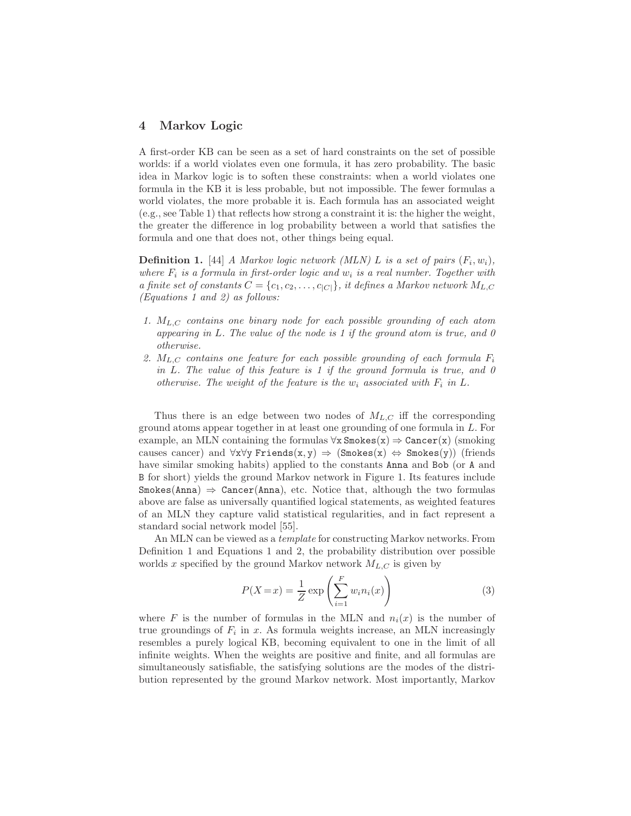## 4 Markov Logic

A first-order KB can be seen as a set of hard constraints on the set of possible worlds: if a world violates even one formula, it has zero probability. The basic idea in Markov logic is to soften these constraints: when a world violates one formula in the KB it is less probable, but not impossible. The fewer formulas a world violates, the more probable it is. Each formula has an associated weight (e.g., see Table 1) that reflects how strong a constraint it is: the higher the weight, the greater the difference in log probability between a world that satisfies the formula and one that does not, other things being equal.

**Definition 1.** [44] A Markov logic network (MLN) L is a set of pairs  $(F_i, w_i)$ , where  $F_i$  is a formula in first-order logic and  $w_i$  is a real number. Together with a finite set of constants  $C = \{c_1, c_2, \ldots, c_{|C|}\}\$ , it defines a Markov network  $M_{L,C}$ (Equations 1 and 2) as follows:

- 1.  $M_{L,C}$  contains one binary node for each possible grounding of each atom appearing in  $L$ . The value of the node is 1 if the ground atom is true, and  $\theta$ otherwise.
- 2.  $M_{L,C}$  contains one feature for each possible grounding of each formula  $F_i$ in  $L$ . The value of this feature is 1 if the ground formula is true, and  $0$ otherwise. The weight of the feature is the  $w_i$  associated with  $F_i$  in L.

Thus there is an edge between two nodes of  $M_{L,C}$  iff the corresponding ground atoms appear together in at least one grounding of one formula in L. For example, an MLN containing the formulas  $\forall x$  Smokes $(x) \Rightarrow$  Cancer $(x)$  (smoking causes cancer) and  $\forall x \forall y$  Friends $(x, y) \Rightarrow (\text{Snokes}(x) \Leftrightarrow \text{Snokes}(y))$  (friends have similar smoking habits) applied to the constants Anna and Bob (or A and B for short) yields the ground Markov network in Figure 1. Its features include  $Smokes(Anna) \Rightarrow Cancer(Anna), etc. Notice that, although the two formulas$ above are false as universally quantified logical statements, as weighted features of an MLN they capture valid statistical regularities, and in fact represent a standard social network model [55].

An MLN can be viewed as a *template* for constructing Markov networks. From Definition 1 and Equations 1 and 2, the probability distribution over possible worlds x specified by the ground Markov network  $M_{L,C}$  is given by

$$
P(X=x) = \frac{1}{Z} \exp\left(\sum_{i=1}^{F} w_i n_i(x)\right)
$$
 (3)

where F is the number of formulas in the MLN and  $n_i(x)$  is the number of true groundings of  $F_i$  in x. As formula weights increase, an MLN increasingly resembles a purely logical KB, becoming equivalent to one in the limit of all infinite weights. When the weights are positive and finite, and all formulas are simultaneously satisfiable, the satisfying solutions are the modes of the distribution represented by the ground Markov network. Most importantly, Markov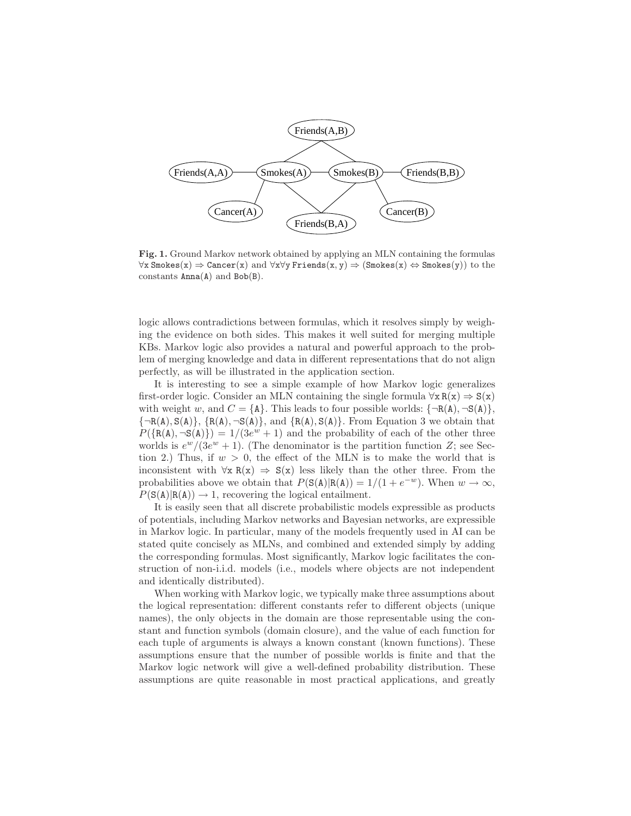

Fig. 1. Ground Markov network obtained by applying an MLN containing the formulas  $\forall x$  Smokes(x)  $\Rightarrow$  Cancer(x) and  $\forall x \forall y$  Friends(x, y)  $\Rightarrow$  (Smokes(x)  $\Leftrightarrow$  Smokes(y)) to the constants  $Anna(A)$  and  $Bob(B)$ .

logic allows contradictions between formulas, which it resolves simply by weighing the evidence on both sides. This makes it well suited for merging multiple KBs. Markov logic also provides a natural and powerful approach to the problem of merging knowledge and data in different representations that do not align perfectly, as will be illustrated in the application section.

It is interesting to see a simple example of how Markov logic generalizes first-order logic. Consider an MLN containing the single formula  $\forall x R(x) \Rightarrow S(x)$ with weight w, and  $C = \{A\}$ . This leads to four possible worlds:  $\{\neg R(A), \neg S(A)\},\$  $\{\neg R(A), S(A)\}, \{R(A), \neg S(A)\}, \text{ and } \{R(A), S(A)\}.$  From Equation 3 we obtain that  $P({\{R(A), \neg S(A)\}}) = 1/(3e^w + 1)$  and the probability of each of the other three worlds is  $e^w/(3e^w+1)$ . (The denominator is the partition function Z; see Section 2.) Thus, if  $w > 0$ , the effect of the MLN is to make the world that is inconsistent with  $\forall x R(x) \Rightarrow S(x)$  less likely than the other three. From the probabilities above we obtain that  $P(S(A)|R(A)) = 1/(1 + e^{-w})$ . When  $w \to \infty$ ,  $P(S(A)|R(A)) \rightarrow 1$ , recovering the logical entailment.

It is easily seen that all discrete probabilistic models expressible as products of potentials, including Markov networks and Bayesian networks, are expressible in Markov logic. In particular, many of the models frequently used in AI can be stated quite concisely as MLNs, and combined and extended simply by adding the corresponding formulas. Most significantly, Markov logic facilitates the construction of non-i.i.d. models (i.e., models where objects are not independent and identically distributed).

When working with Markov logic, we typically make three assumptions about the logical representation: different constants refer to different objects (unique names), the only objects in the domain are those representable using the constant and function symbols (domain closure), and the value of each function for each tuple of arguments is always a known constant (known functions). These assumptions ensure that the number of possible worlds is finite and that the Markov logic network will give a well-defined probability distribution. These assumptions are quite reasonable in most practical applications, and greatly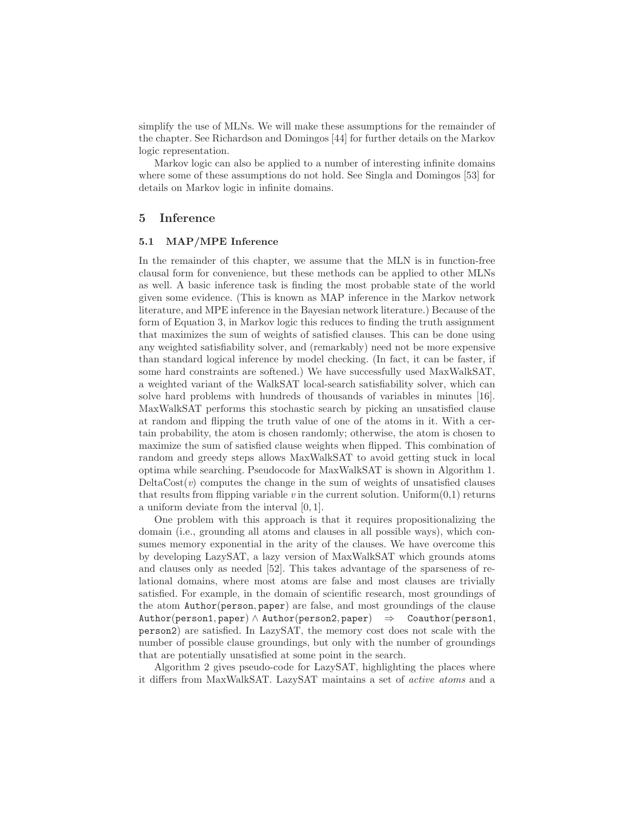simplify the use of MLNs. We will make these assumptions for the remainder of the chapter. See Richardson and Domingos [44] for further details on the Markov logic representation.

Markov logic can also be applied to a number of interesting infinite domains where some of these assumptions do not hold. See Singla and Domingos [53] for details on Markov logic in infinite domains.

### 5 Inference

#### 5.1 MAP/MPE Inference

In the remainder of this chapter, we assume that the MLN is in function-free clausal form for convenience, but these methods can be applied to other MLNs as well. A basic inference task is finding the most probable state of the world given some evidence. (This is known as MAP inference in the Markov network literature, and MPE inference in the Bayesian network literature.) Because of the form of Equation 3, in Markov logic this reduces to finding the truth assignment that maximizes the sum of weights of satisfied clauses. This can be done using any weighted satisfiability solver, and (remarkably) need not be more expensive than standard logical inference by model checking. (In fact, it can be faster, if some hard constraints are softened.) We have successfully used MaxWalkSAT, a weighted variant of the WalkSAT local-search satisfiability solver, which can solve hard problems with hundreds of thousands of variables in minutes [16]. MaxWalkSAT performs this stochastic search by picking an unsatisfied clause at random and flipping the truth value of one of the atoms in it. With a certain probability, the atom is chosen randomly; otherwise, the atom is chosen to maximize the sum of satisfied clause weights when flipped. This combination of random and greedy steps allows MaxWalkSAT to avoid getting stuck in local optima while searching. Pseudocode for MaxWalkSAT is shown in Algorithm 1. DeltaCost $(v)$  computes the change in the sum of weights of unsatisfied clauses that results from flipping variable v in the current solution. Uniform $(0,1)$  returns a uniform deviate from the interval [0, 1].

One problem with this approach is that it requires propositionalizing the domain (i.e., grounding all atoms and clauses in all possible ways), which consumes memory exponential in the arity of the clauses. We have overcome this by developing LazySAT, a lazy version of MaxWalkSAT which grounds atoms and clauses only as needed [52]. This takes advantage of the sparseness of relational domains, where most atoms are false and most clauses are trivially satisfied. For example, in the domain of scientific research, most groundings of the atom Author(person, paper) are false, and most groundings of the clause  $Author(person1, paper) \wedge Author(person2, paper) \Rightarrow Coulomb (person1, paper)$ person2) are satisfied. In LazySAT, the memory cost does not scale with the number of possible clause groundings, but only with the number of groundings that are potentially unsatisfied at some point in the search.

Algorithm 2 gives pseudo-code for LazySAT, highlighting the places where it differs from MaxWalkSAT. LazySAT maintains a set of active atoms and a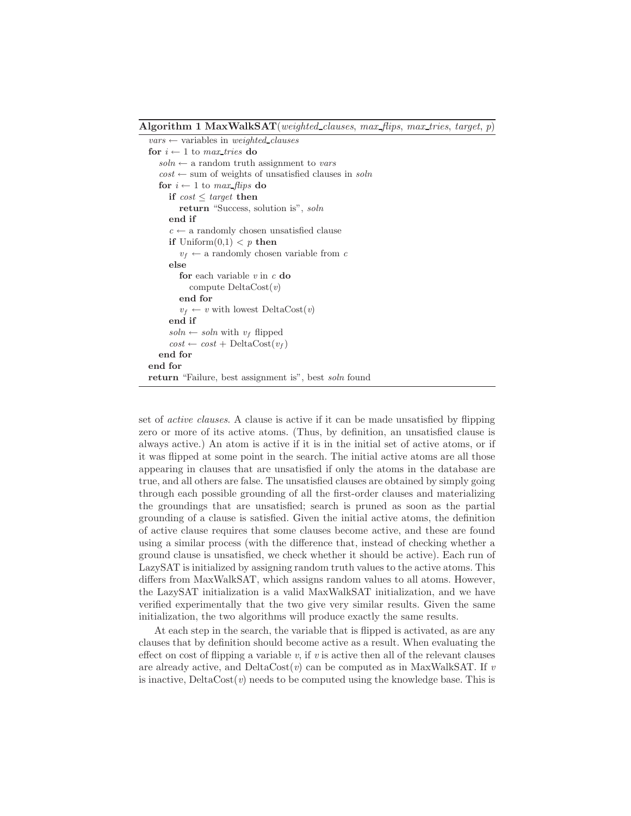Algorithm 1 MaxWalkSAT(weighted\_clauses, max\_flips, max\_tries, target, p)

```
vars \leftarrow variables in weighted_clauses
for i \leftarrow 1 to max tries do
   \text{soln} \leftarrow a random truth assignment to vars
   cost \leftarrow sum of weights of unsatisfied clauses in soln
  for i \leftarrow 1 to max flips do
     if cost \leq target then
        return "Success, solution is", soln
     end if
     c \leftarrow a randomly chosen unsatisfied clause
     if Uniform(0,1) < p then
         v_f \leftarrow a randomly chosen variable from c
     else
        for each variable v in c do
           compute DeltaCost(v)end for
        v_f \leftarrow v with lowest DeltaCost(v)end if
     \text{sol}n \leftarrow \text{sol}n with v_f flipped
     cost \leftarrow cost + \text{DeltaCost}(v_f)end for
end for
return "Failure, best assignment is", best soln found
```
set of active clauses. A clause is active if it can be made unsatisfied by flipping zero or more of its active atoms. (Thus, by definition, an unsatisfied clause is always active.) An atom is active if it is in the initial set of active atoms, or if it was flipped at some point in the search. The initial active atoms are all those appearing in clauses that are unsatisfied if only the atoms in the database are true, and all others are false. The unsatisfied clauses are obtained by simply going through each possible grounding of all the first-order clauses and materializing the groundings that are unsatisfied; search is pruned as soon as the partial grounding of a clause is satisfied. Given the initial active atoms, the definition of active clause requires that some clauses become active, and these are found using a similar process (with the difference that, instead of checking whether a ground clause is unsatisfied, we check whether it should be active). Each run of LazySAT is initialized by assigning random truth values to the active atoms. This differs from MaxWalkSAT, which assigns random values to all atoms. However, the LazySAT initialization is a valid MaxWalkSAT initialization, and we have verified experimentally that the two give very similar results. Given the same initialization, the two algorithms will produce exactly the same results.

At each step in the search, the variable that is flipped is activated, as are any clauses that by definition should become active as a result. When evaluating the effect on cost of flipping a variable v, if v is active then all of the relevant clauses are already active, and  $DeltaCost(v)$  can be computed as in MaxWalkSAT. If v is inactive,  $DeltaCost(v)$  needs to be computed using the knowledge base. This is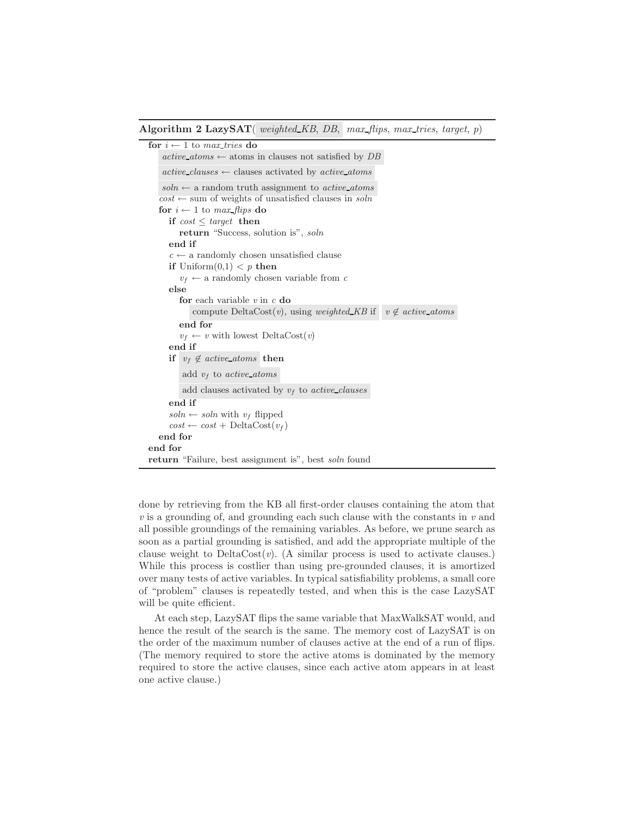Algorithm 2 LazySAT( weighted  $KB$ , DB, max flips, max tries, target, p)

| for $i \leftarrow 1$ to max tries do                                        |
|-----------------------------------------------------------------------------|
| $active\_atoms \leftarrow$ atoms in clauses not satisfied by DB             |
| $active\_classes \leftarrow clauses$ activated by $active\_atoms$           |
| $\textit{soln} \leftarrow$ a random truth assignment to <i>active</i> atoms |
| $cost \leftarrow$ sum of weights of unsatisfied clauses in <i>soln</i>      |
| for $i \leftarrow 1$ to max-flips do                                        |
| if $cost \leq target$ then                                                  |
| return "Success, solution is", soln                                         |
| end if                                                                      |
| $c \leftarrow$ a randomly chosen unsatisfied clause                         |
| if $Uniform(0,1) < p$ then                                                  |
| $v_f \leftarrow$ a randomly chosen variable from c                          |
| else                                                                        |
| for each variable $v$ in $c$ do                                             |
| compute DeltaCost(v), using <i>weighted_KB</i> if $v \notin active\_atoms$  |
| end for                                                                     |
| $v_f \leftarrow v$ with lowest DeltaCost( <i>v</i> )                        |
| end if                                                                      |
| if $v_f \notin active\_atoms$ then                                          |
| add $v_f$ to <i>active_atoms</i>                                            |
| add clauses activated by $v_f$ to <i>active_clauses</i>                     |
| end if                                                                      |
| $\text{sol}n \leftarrow \text{sol}n \text{ with } v_f \text{ flipped}$      |
| $cost \leftarrow cost + \text{DeltaCost}(v_f)$                              |
| end for                                                                     |
| end for                                                                     |
| <b>return</b> "Failure, best assignment is", best <i>soln</i> found         |

done by retrieving from the KB all first-order clauses containing the atom that  $v$  is a grounding of, and grounding each such clause with the constants in  $v$  and all possible groundings of the remaining variables. As before, we prune search as soon as a partial grounding is satisfied, and add the appropriate multiple of the clause weight to  $DeltaCost(v)$ . (A similar process is used to activate clauses.) While this process is costlier than using pre-grounded clauses, it is amortized over many tests of active variables. In typical satisfiability problems, a small core of "problem" clauses is repeatedly tested, and when this is the case LazySAT will be quite efficient.

At each step, LazySAT flips the same variable that MaxWalkSAT would, and hence the result of the search is the same. The memory cost of LazySAT is on the order of the maximum number of clauses active at the end of a run of flips. (The memory required to store the active atoms is dominated by the memory required to store the active clauses, since each active atom appears in at least one active clause.)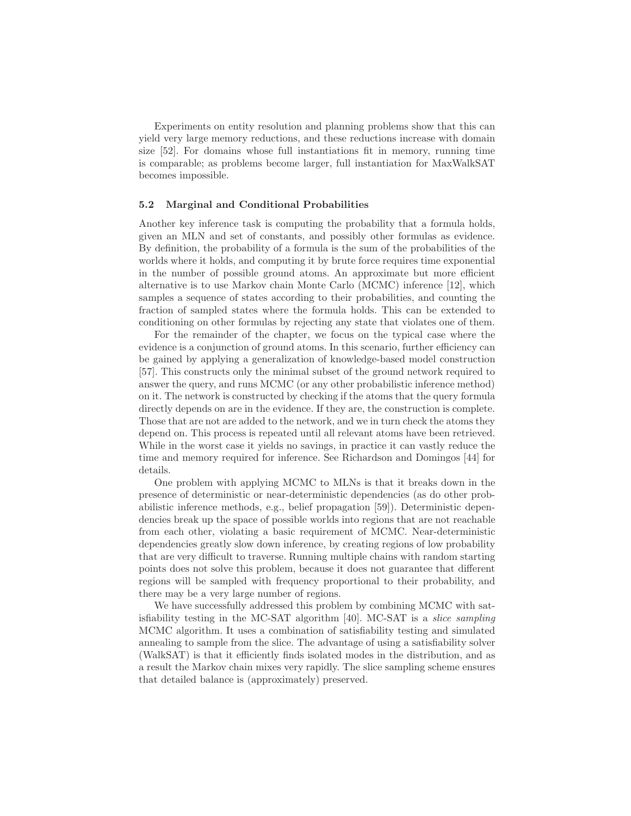Experiments on entity resolution and planning problems show that this can yield very large memory reductions, and these reductions increase with domain size [52]. For domains whose full instantiations fit in memory, running time is comparable; as problems become larger, full instantiation for MaxWalkSAT becomes impossible.

#### 5.2 Marginal and Conditional Probabilities

Another key inference task is computing the probability that a formula holds, given an MLN and set of constants, and possibly other formulas as evidence. By definition, the probability of a formula is the sum of the probabilities of the worlds where it holds, and computing it by brute force requires time exponential in the number of possible ground atoms. An approximate but more efficient alternative is to use Markov chain Monte Carlo (MCMC) inference [12], which samples a sequence of states according to their probabilities, and counting the fraction of sampled states where the formula holds. This can be extended to conditioning on other formulas by rejecting any state that violates one of them.

For the remainder of the chapter, we focus on the typical case where the evidence is a conjunction of ground atoms. In this scenario, further efficiency can be gained by applying a generalization of knowledge-based model construction [57]. This constructs only the minimal subset of the ground network required to answer the query, and runs MCMC (or any other probabilistic inference method) on it. The network is constructed by checking if the atoms that the query formula directly depends on are in the evidence. If they are, the construction is complete. Those that are not are added to the network, and we in turn check the atoms they depend on. This process is repeated until all relevant atoms have been retrieved. While in the worst case it yields no savings, in practice it can vastly reduce the time and memory required for inference. See Richardson and Domingos [44] for details.

One problem with applying MCMC to MLNs is that it breaks down in the presence of deterministic or near-deterministic dependencies (as do other probabilistic inference methods, e.g., belief propagation [59]). Deterministic dependencies break up the space of possible worlds into regions that are not reachable from each other, violating a basic requirement of MCMC. Near-deterministic dependencies greatly slow down inference, by creating regions of low probability that are very difficult to traverse. Running multiple chains with random starting points does not solve this problem, because it does not guarantee that different regions will be sampled with frequency proportional to their probability, and there may be a very large number of regions.

We have successfully addressed this problem by combining MCMC with satisfiability testing in the MC-SAT algorithm [40]. MC-SAT is a slice sampling MCMC algorithm. It uses a combination of satisfiability testing and simulated annealing to sample from the slice. The advantage of using a satisfiability solver (WalkSAT) is that it efficiently finds isolated modes in the distribution, and as a result the Markov chain mixes very rapidly. The slice sampling scheme ensures that detailed balance is (approximately) preserved.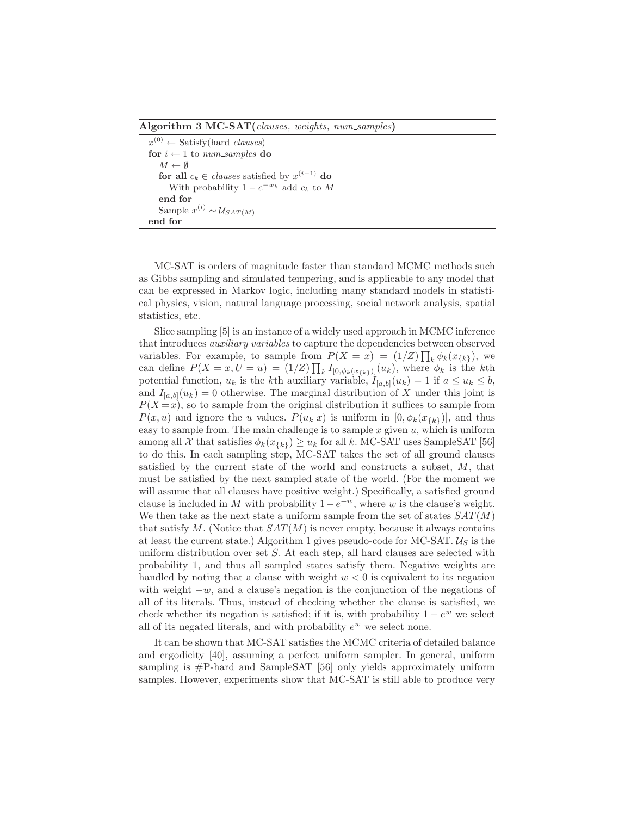Algorithm 3 MC-SAT(clauses, weights, num\_samples)

```
x^{(0)} \leftarrow Satisfy(hard clauses)
for i \leftarrow 1 to num samples do
   M \leftarrow \emptysetfor all c_k \in clauses satisfied by x^{(i-1)} do
       With probability 1 - e^{-w_k} add c_k to M
   end for
   Sample x^{(i)} \sim \mathcal{U}_{SAT(M)}end for
```
MC-SAT is orders of magnitude faster than standard MCMC methods such as Gibbs sampling and simulated tempering, and is applicable to any model that can be expressed in Markov logic, including many standard models in statistical physics, vision, natural language processing, social network analysis, spatial statistics, etc.

Slice sampling [5] is an instance of a widely used approach in MCMC inference that introduces auxiliary variables to capture the dependencies between observed variables. For example, to sample from  $P(X = x) = (1/Z) \prod_k \phi_k(x_{\{k\}})$ , we can define  $P(X = x, U = u) = (1/Z) \prod_k I_{[0, \phi_k(x_{\{k\}})]}(u_k)$ , where  $\phi_k$  is the kth potential function,  $u_k$  is the kth auxiliary variable,  $I_{[a,b]}(u_k) = 1$  if  $a \le u_k \le b$ , and  $I_{[a,b]}(u_k) = 0$  otherwise. The marginal distribution of X under this joint is  $P(X=x)$ , so to sample from the original distribution it suffices to sample from  $P(x, u)$  and ignore the u values.  $P(u_k|x)$  is uniform in  $[0, \phi_k(x_{\{k\}})]$ , and thus easy to sample from. The main challenge is to sample  $x$  given  $u$ , which is uniform among all X that satisfies  $\phi_k(x_{\{k\}}) \geq u_k$  for all k. MC-SAT uses SampleSAT [56] to do this. In each sampling step, MC-SAT takes the set of all ground clauses satisfied by the current state of the world and constructs a subset, M, that must be satisfied by the next sampled state of the world. (For the moment we will assume that all clauses have positive weight.) Specifically, a satisfied ground clause is included in M with probability  $1-e^{-w}$ , where w is the clause's weight. We then take as the next state a uniform sample from the set of states  $SAT(M)$ that satisfy M. (Notice that  $SAT(M)$  is never empty, because it always contains at least the current state.) Algorithm 1 gives pseudo-code for MC-SAT.  $U<sub>S</sub>$  is the uniform distribution over set  $S$ . At each step, all hard clauses are selected with probability 1, and thus all sampled states satisfy them. Negative weights are handled by noting that a clause with weight  $w < 0$  is equivalent to its negation with weight  $-w$ , and a clause's negation is the conjunction of the negations of all of its literals. Thus, instead of checking whether the clause is satisfied, we check whether its negation is satisfied; if it is, with probability  $1 - e^w$  we select all of its negated literals, and with probability  $e^w$  we select none.

It can be shown that MC-SAT satisfies the MCMC criteria of detailed balance and ergodicity [40], assuming a perfect uniform sampler. In general, uniform sampling is #P-hard and SampleSAT [56] only yields approximately uniform samples. However, experiments show that MC-SAT is still able to produce very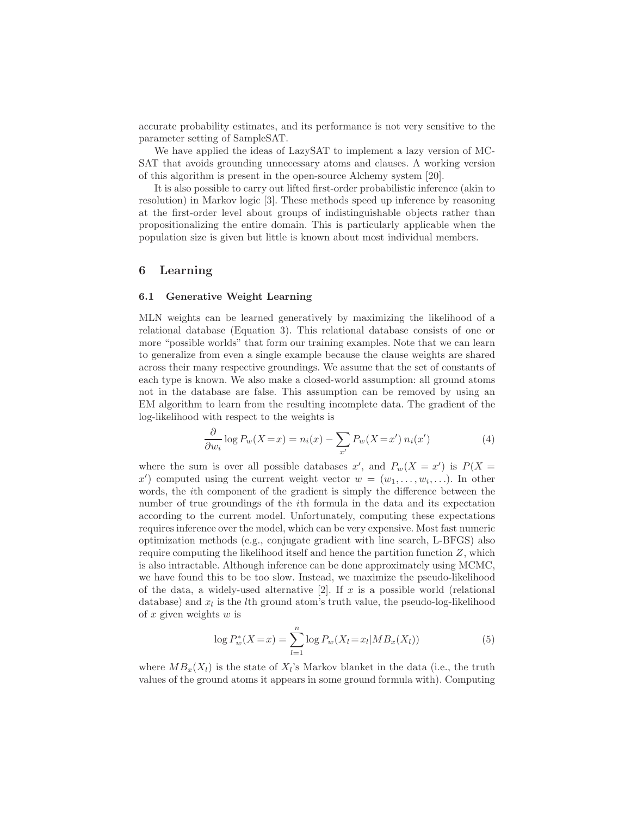accurate probability estimates, and its performance is not very sensitive to the parameter setting of SampleSAT.

We have applied the ideas of LazySAT to implement a lazy version of MC-SAT that avoids grounding unnecessary atoms and clauses. A working version of this algorithm is present in the open-source Alchemy system [20].

It is also possible to carry out lifted first-order probabilistic inference (akin to resolution) in Markov logic [3]. These methods speed up inference by reasoning at the first-order level about groups of indistinguishable objects rather than propositionalizing the entire domain. This is particularly applicable when the population size is given but little is known about most individual members.

### 6 Learning

#### 6.1 Generative Weight Learning

MLN weights can be learned generatively by maximizing the likelihood of a relational database (Equation 3). This relational database consists of one or more "possible worlds" that form our training examples. Note that we can learn to generalize from even a single example because the clause weights are shared across their many respective groundings. We assume that the set of constants of each type is known. We also make a closed-world assumption: all ground atoms not in the database are false. This assumption can be removed by using an EM algorithm to learn from the resulting incomplete data. The gradient of the log-likelihood with respect to the weights is

$$
\frac{\partial}{\partial w_i} \log P_w(X = x) = n_i(x) - \sum_{x'} P_w(X = x') n_i(x')
$$
 (4)

where the sum is over all possible databases x', and  $P_w(X = x')$  is  $P(X = x')$ x') computed using the current weight vector  $w = (w_1, \ldots, w_i, \ldots)$ . In other words, the ith component of the gradient is simply the difference between the number of true groundings of the ith formula in the data and its expectation according to the current model. Unfortunately, computing these expectations requires inference over the model, which can be very expensive. Most fast numeric optimization methods (e.g., conjugate gradient with line search, L-BFGS) also require computing the likelihood itself and hence the partition function  $Z$ , which is also intractable. Although inference can be done approximately using MCMC, we have found this to be too slow. Instead, we maximize the pseudo-likelihood of the data, a widely-used alternative [2]. If  $x$  is a possible world (relational database) and  $x_l$  is the *l*<sup>th</sup> ground atom's truth value, the pseudo-log-likelihood of  $x$  given weights  $w$  is

$$
\log P_w^*(X = x) = \sum_{l=1}^n \log P_w(X_l = x_l | MB_x(X_l))
$$
\n(5)

where  $MB_x(X_l)$  is the state of  $X_l$ 's Markov blanket in the data (i.e., the truth values of the ground atoms it appears in some ground formula with). Computing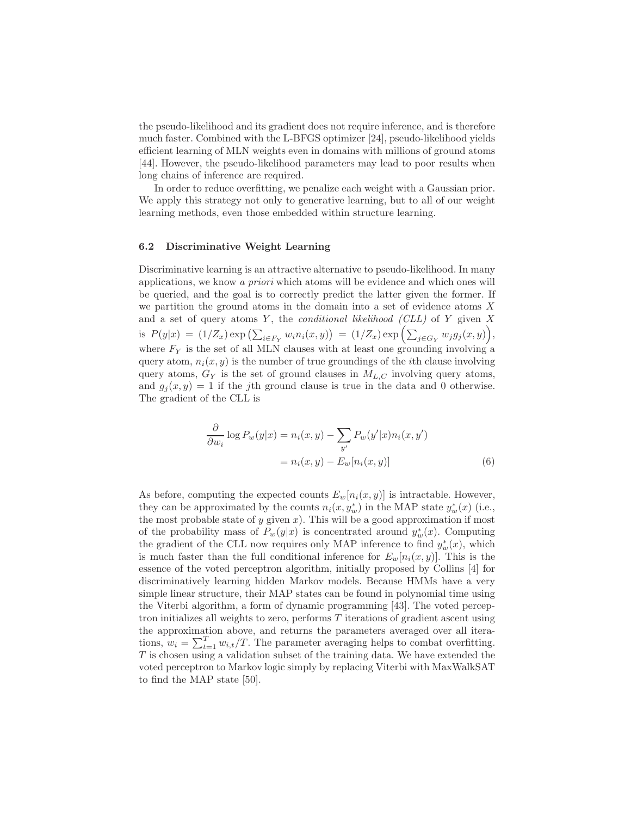the pseudo-likelihood and its gradient does not require inference, and is therefore much faster. Combined with the L-BFGS optimizer [24], pseudo-likelihood yields efficient learning of MLN weights even in domains with millions of ground atoms [44]. However, the pseudo-likelihood parameters may lead to poor results when long chains of inference are required.

In order to reduce overfitting, we penalize each weight with a Gaussian prior. We apply this strategy not only to generative learning, but to all of our weight learning methods, even those embedded within structure learning.

#### 6.2 Discriminative Weight Learning

Discriminative learning is an attractive alternative to pseudo-likelihood. In many applications, we know a priori which atoms will be evidence and which ones will be queried, and the goal is to correctly predict the latter given the former. If we partition the ground atoms in the domain into a set of evidence atoms  $X$ and a set of query atoms  $Y$ , the *conditional likelihood* (CLL) of  $Y$  given  $X$ is  $P(y|x) = (1/Z_x) \exp \left( \sum_{i \in F_Y} w_i n_i(x, y) \right) = (1/Z_x) \exp \left( \sum_{j \in G_Y} w_j g_j(x, y) \right),$ where  $F_Y$  is the set of all MLN clauses with at least one grounding involving a query atom,  $n_i(x, y)$  is the number of true groundings of the *i*th clause involving query atoms,  $G_Y$  is the set of ground clauses in  $M_{L,C}$  involving query atoms, and  $g_i(x, y) = 1$  if the j<sup>th</sup> ground clause is true in the data and 0 otherwise. The gradient of the CLL is

$$
\frac{\partial}{\partial w_i} \log P_w(y|x) = n_i(x, y) - \sum_{y'} P_w(y'|x) n_i(x, y')
$$

$$
= n_i(x, y) - E_w[n_i(x, y)] \tag{6}
$$

As before, computing the expected counts  $E_w[n_i(x, y)]$  is intractable. However, they can be approximated by the counts  $n_i(x, y_w^*)$  in the MAP state  $y_w^*(x)$  (i.e., the most probable state of  $y$  given  $x$ ). This will be a good approximation if most of the probability mass of  $P_w(y|x)$  is concentrated around  $y_w^*(x)$ . Computing the gradient of the CLL now requires only MAP inference to find  $y_w^*(x)$ , which is much faster than the full conditional inference for  $E_w[n_i(x, y)]$ . This is the essence of the voted perceptron algorithm, initially proposed by Collins [4] for discriminatively learning hidden Markov models. Because HMMs have a very simple linear structure, their MAP states can be found in polynomial time using the Viterbi algorithm, a form of dynamic programming [43]. The voted perceptron initializes all weights to zero, performs  $T$  iterations of gradient ascent using the approximation above, and returns the parameters averaged over all iterations,  $w_i = \sum_{t=1}^{T} w_{i,t}/T$ . The parameter averaging helps to combat overfitting. T is chosen using a validation subset of the training data. We have extended the voted perceptron to Markov logic simply by replacing Viterbi with MaxWalkSAT to find the MAP state [50].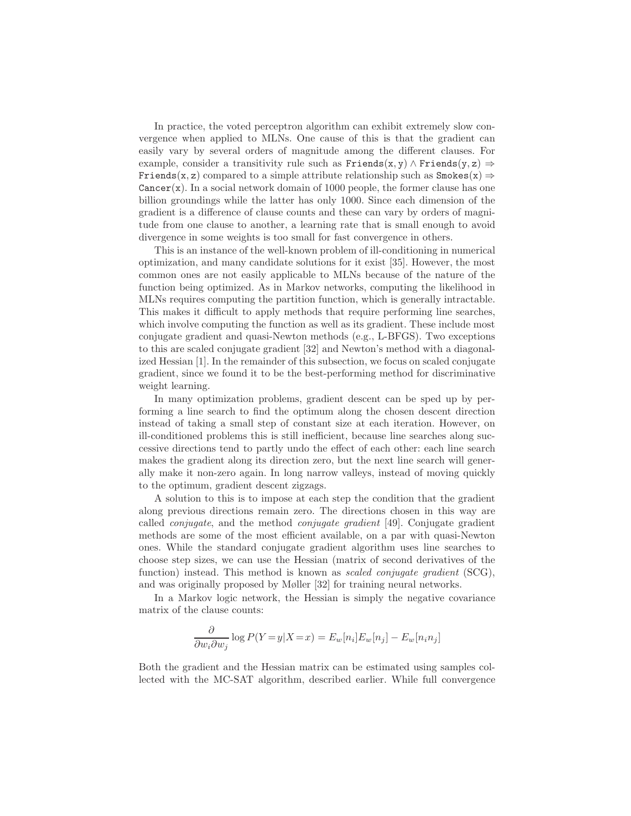In practice, the voted perceptron algorithm can exhibit extremely slow convergence when applied to MLNs. One cause of this is that the gradient can easily vary by several orders of magnitude among the different clauses. For example, consider a transitivity rule such as  $Friends(x, y) \wedge Friends(y, z) \Rightarrow$ Friends(x, z) compared to a simple attribute relationship such as  $\text{Smokes}(x) \Rightarrow$  $\text{Cancer}(x)$ . In a social network domain of 1000 people, the former clause has one billion groundings while the latter has only 1000. Since each dimension of the gradient is a difference of clause counts and these can vary by orders of magnitude from one clause to another, a learning rate that is small enough to avoid divergence in some weights is too small for fast convergence in others.

This is an instance of the well-known problem of ill-conditioning in numerical optimization, and many candidate solutions for it exist [35]. However, the most common ones are not easily applicable to MLNs because of the nature of the function being optimized. As in Markov networks, computing the likelihood in MLNs requires computing the partition function, which is generally intractable. This makes it difficult to apply methods that require performing line searches, which involve computing the function as well as its gradient. These include most conjugate gradient and quasi-Newton methods (e.g., L-BFGS). Two exceptions to this are scaled conjugate gradient [32] and Newton's method with a diagonalized Hessian [1]. In the remainder of this subsection, we focus on scaled conjugate gradient, since we found it to be the best-performing method for discriminative weight learning.

In many optimization problems, gradient descent can be sped up by performing a line search to find the optimum along the chosen descent direction instead of taking a small step of constant size at each iteration. However, on ill-conditioned problems this is still inefficient, because line searches along successive directions tend to partly undo the effect of each other: each line search makes the gradient along its direction zero, but the next line search will generally make it non-zero again. In long narrow valleys, instead of moving quickly to the optimum, gradient descent zigzags.

A solution to this is to impose at each step the condition that the gradient along previous directions remain zero. The directions chosen in this way are called conjugate, and the method conjugate gradient [49]. Conjugate gradient methods are some of the most efficient available, on a par with quasi-Newton ones. While the standard conjugate gradient algorithm uses line searches to choose step sizes, we can use the Hessian (matrix of second derivatives of the function) instead. This method is known as *scaled conjugate gradient* (SCG), and was originally proposed by Møller [32] for training neural networks.

In a Markov logic network, the Hessian is simply the negative covariance matrix of the clause counts:

$$
\frac{\partial}{\partial w_i \partial w_j} \log P(Y = y | X = x) = E_w[n_i] E_w[n_j] - E_w[n_i n_j]
$$

Both the gradient and the Hessian matrix can be estimated using samples collected with the MC-SAT algorithm, described earlier. While full convergence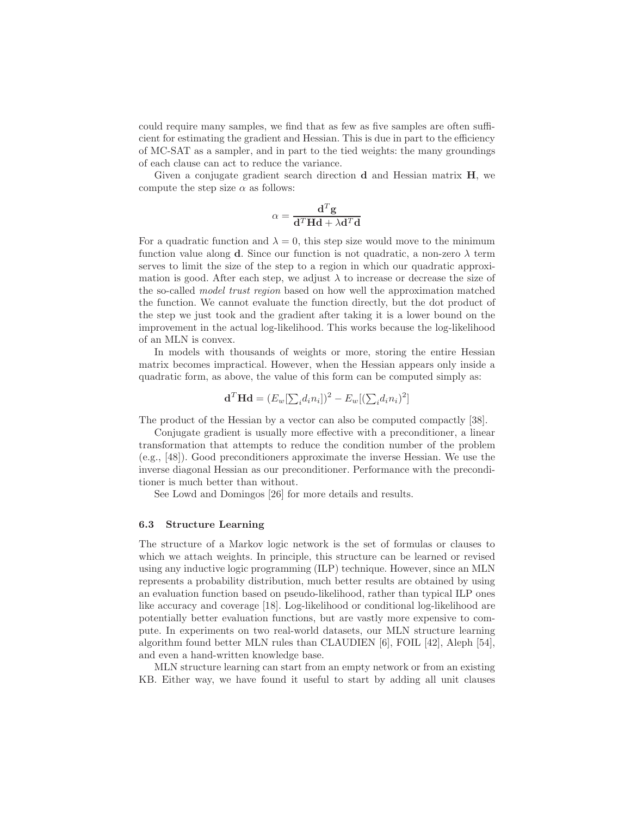could require many samples, we find that as few as five samples are often sufficient for estimating the gradient and Hessian. This is due in part to the efficiency of MC-SAT as a sampler, and in part to the tied weights: the many groundings of each clause can act to reduce the variance.

Given a conjugate gradient search direction d and Hessian matrix H, we compute the step size  $\alpha$  as follows:

$$
\alpha = \frac{\mathbf{d}^T \mathbf{g}}{\mathbf{d}^T \mathbf{H} \mathbf{d} + \lambda \mathbf{d}^T \mathbf{d}}
$$

For a quadratic function and  $\lambda = 0$ , this step size would move to the minimum function value along **d**. Since our function is not quadratic, a non-zero  $\lambda$  term serves to limit the size of the step to a region in which our quadratic approximation is good. After each step, we adjust  $\lambda$  to increase or decrease the size of the so-called model trust region based on how well the approximation matched the function. We cannot evaluate the function directly, but the dot product of the step we just took and the gradient after taking it is a lower bound on the improvement in the actual log-likelihood. This works because the log-likelihood of an MLN is convex.

In models with thousands of weights or more, storing the entire Hessian matrix becomes impractical. However, when the Hessian appears only inside a quadratic form, as above, the value of this form can be computed simply as:

$$
\mathbf{d}^T \mathbf{H} \mathbf{d} = (E_w[\sum_i d_i n_i])^2 - E_w[(\sum_i d_i n_i)^2]
$$

The product of the Hessian by a vector can also be computed compactly [38].

Conjugate gradient is usually more effective with a preconditioner, a linear transformation that attempts to reduce the condition number of the problem (e.g., [48]). Good preconditioners approximate the inverse Hessian. We use the inverse diagonal Hessian as our preconditioner. Performance with the preconditioner is much better than without.

See Lowd and Domingos [26] for more details and results.

#### 6.3 Structure Learning

The structure of a Markov logic network is the set of formulas or clauses to which we attach weights. In principle, this structure can be learned or revised using any inductive logic programming (ILP) technique. However, since an MLN represents a probability distribution, much better results are obtained by using an evaluation function based on pseudo-likelihood, rather than typical ILP ones like accuracy and coverage [18]. Log-likelihood or conditional log-likelihood are potentially better evaluation functions, but are vastly more expensive to compute. In experiments on two real-world datasets, our MLN structure learning algorithm found better MLN rules than CLAUDIEN [6], FOIL [42], Aleph [54], and even a hand-written knowledge base.

MLN structure learning can start from an empty network or from an existing KB. Either way, we have found it useful to start by adding all unit clauses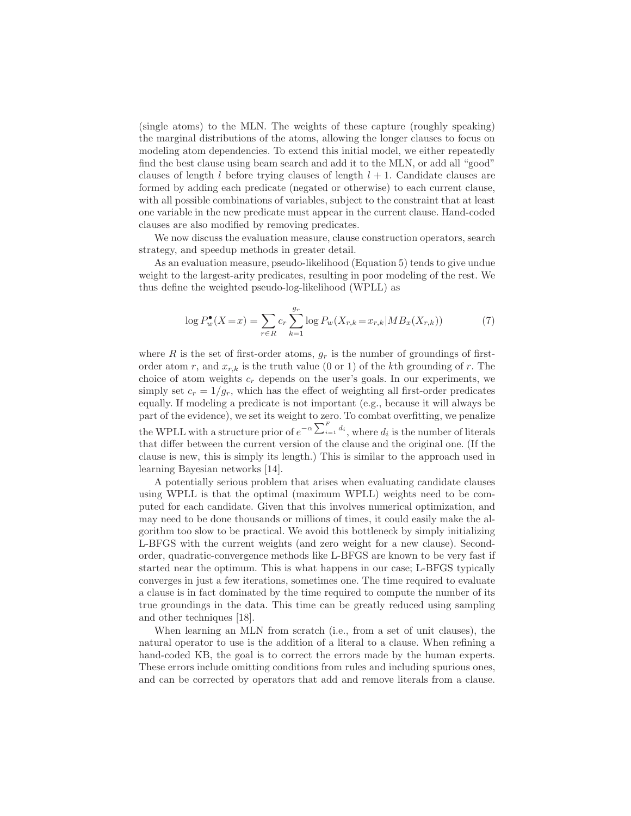(single atoms) to the MLN. The weights of these capture (roughly speaking) the marginal distributions of the atoms, allowing the longer clauses to focus on modeling atom dependencies. To extend this initial model, we either repeatedly find the best clause using beam search and add it to the MLN, or add all "good" clauses of length l before trying clauses of length  $l + 1$ . Candidate clauses are formed by adding each predicate (negated or otherwise) to each current clause, with all possible combinations of variables, subject to the constraint that at least one variable in the new predicate must appear in the current clause. Hand-coded clauses are also modified by removing predicates.

We now discuss the evaluation measure, clause construction operators, search strategy, and speedup methods in greater detail.

As an evaluation measure, pseudo-likelihood (Equation 5) tends to give undue weight to the largest-arity predicates, resulting in poor modeling of the rest. We thus define the weighted pseudo-log-likelihood (WPLL) as

$$
\log P_w^{\bullet}(X = x) = \sum_{r \in R} c_r \sum_{k=1}^{g_r} \log P_w(X_{r,k} = x_{r,k} | MB_x(X_{r,k})) \tag{7}
$$

where R is the set of first-order atoms,  $g_r$  is the number of groundings of firstorder atom r, and  $x_{r,k}$  is the truth value (0 or 1) of the kth grounding of r. The choice of atom weights  $c_r$  depends on the user's goals. In our experiments, we simply set  $c_r = 1/g_r$ , which has the effect of weighting all first-order predicates equally. If modeling a predicate is not important (e.g., because it will always be part of the evidence), we set its weight to zero. To combat overfitting, we penalize the WPLL with a structure prior of  $e^{-\alpha \sum_{i=1}^F d_i}$ , where  $d_i$  is the number of literals that differ between the current version of the clause and the original one. (If the clause is new, this is simply its length.) This is similar to the approach used in learning Bayesian networks [14].

A potentially serious problem that arises when evaluating candidate clauses using WPLL is that the optimal (maximum WPLL) weights need to be computed for each candidate. Given that this involves numerical optimization, and may need to be done thousands or millions of times, it could easily make the algorithm too slow to be practical. We avoid this bottleneck by simply initializing L-BFGS with the current weights (and zero weight for a new clause). Secondorder, quadratic-convergence methods like L-BFGS are known to be very fast if started near the optimum. This is what happens in our case; L-BFGS typically converges in just a few iterations, sometimes one. The time required to evaluate a clause is in fact dominated by the time required to compute the number of its true groundings in the data. This time can be greatly reduced using sampling and other techniques [18].

When learning an MLN from scratch (i.e., from a set of unit clauses), the natural operator to use is the addition of a literal to a clause. When refining a hand-coded KB, the goal is to correct the errors made by the human experts. These errors include omitting conditions from rules and including spurious ones, and can be corrected by operators that add and remove literals from a clause.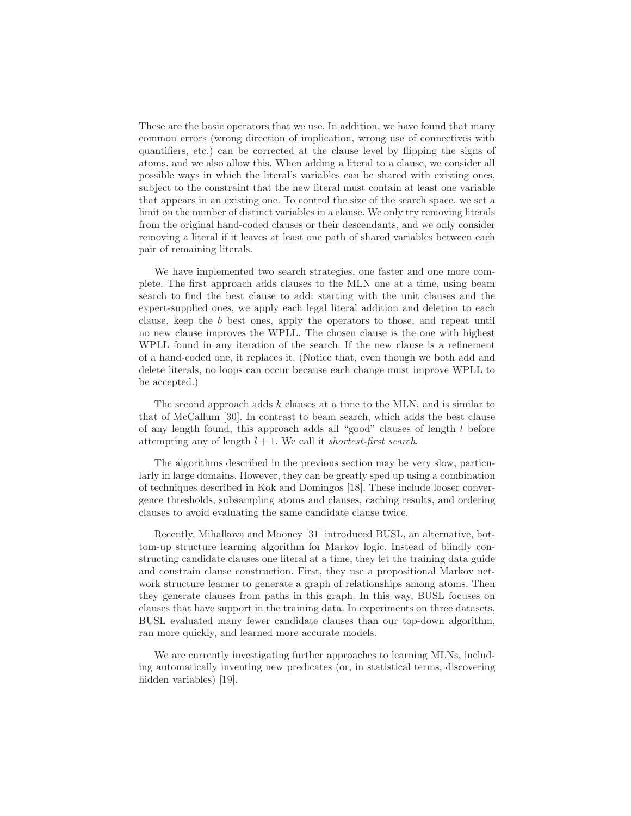These are the basic operators that we use. In addition, we have found that many common errors (wrong direction of implication, wrong use of connectives with quantifiers, etc.) can be corrected at the clause level by flipping the signs of atoms, and we also allow this. When adding a literal to a clause, we consider all possible ways in which the literal's variables can be shared with existing ones, subject to the constraint that the new literal must contain at least one variable that appears in an existing one. To control the size of the search space, we set a limit on the number of distinct variables in a clause. We only try removing literals from the original hand-coded clauses or their descendants, and we only consider removing a literal if it leaves at least one path of shared variables between each pair of remaining literals.

We have implemented two search strategies, one faster and one more complete. The first approach adds clauses to the MLN one at a time, using beam search to find the best clause to add: starting with the unit clauses and the expert-supplied ones, we apply each legal literal addition and deletion to each clause, keep the b best ones, apply the operators to those, and repeat until no new clause improves the WPLL. The chosen clause is the one with highest WPLL found in any iteration of the search. If the new clause is a refinement of a hand-coded one, it replaces it. (Notice that, even though we both add and delete literals, no loops can occur because each change must improve WPLL to be accepted.)

The second approach adds  $k$  clauses at a time to the MLN, and is similar to that of McCallum [30]. In contrast to beam search, which adds the best clause of any length found, this approach adds all "good" clauses of length l before attempting any of length  $l + 1$ . We call it *shortest-first search*.

The algorithms described in the previous section may be very slow, particularly in large domains. However, they can be greatly sped up using a combination of techniques described in Kok and Domingos [18]. These include looser convergence thresholds, subsampling atoms and clauses, caching results, and ordering clauses to avoid evaluating the same candidate clause twice.

Recently, Mihalkova and Mooney [31] introduced BUSL, an alternative, bottom-up structure learning algorithm for Markov logic. Instead of blindly constructing candidate clauses one literal at a time, they let the training data guide and constrain clause construction. First, they use a propositional Markov network structure learner to generate a graph of relationships among atoms. Then they generate clauses from paths in this graph. In this way, BUSL focuses on clauses that have support in the training data. In experiments on three datasets, BUSL evaluated many fewer candidate clauses than our top-down algorithm, ran more quickly, and learned more accurate models.

We are currently investigating further approaches to learning MLNs, including automatically inventing new predicates (or, in statistical terms, discovering hidden variables) [19].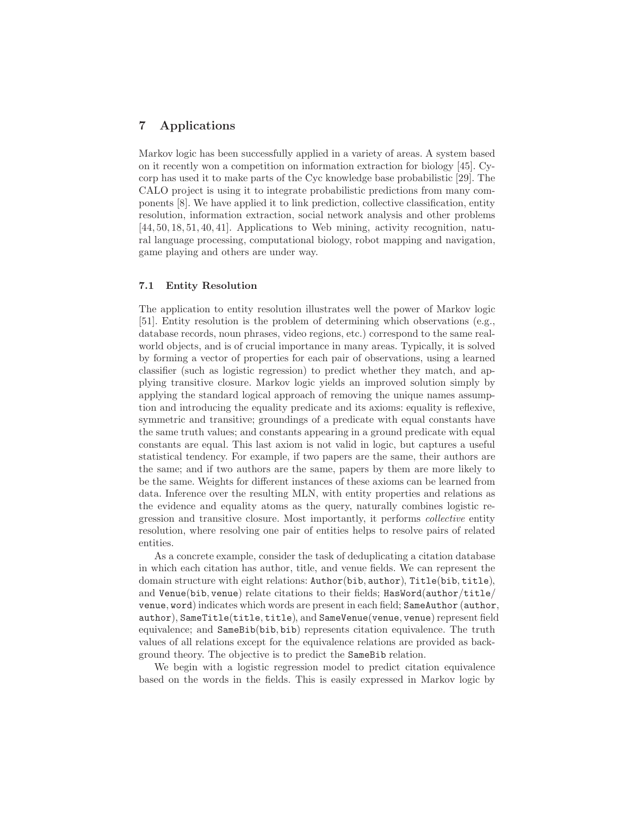# 7 Applications

Markov logic has been successfully applied in a variety of areas. A system based on it recently won a competition on information extraction for biology [45]. Cycorp has used it to make parts of the Cyc knowledge base probabilistic [29]. The CALO project is using it to integrate probabilistic predictions from many components [8]. We have applied it to link prediction, collective classification, entity resolution, information extraction, social network analysis and other problems [44, 50, 18, 51, 40, 41]. Applications to Web mining, activity recognition, natural language processing, computational biology, robot mapping and navigation, game playing and others are under way.

#### 7.1 Entity Resolution

The application to entity resolution illustrates well the power of Markov logic [51]. Entity resolution is the problem of determining which observations (e.g., database records, noun phrases, video regions, etc.) correspond to the same realworld objects, and is of crucial importance in many areas. Typically, it is solved by forming a vector of properties for each pair of observations, using a learned classifier (such as logistic regression) to predict whether they match, and applying transitive closure. Markov logic yields an improved solution simply by applying the standard logical approach of removing the unique names assumption and introducing the equality predicate and its axioms: equality is reflexive, symmetric and transitive; groundings of a predicate with equal constants have the same truth values; and constants appearing in a ground predicate with equal constants are equal. This last axiom is not valid in logic, but captures a useful statistical tendency. For example, if two papers are the same, their authors are the same; and if two authors are the same, papers by them are more likely to be the same. Weights for different instances of these axioms can be learned from data. Inference over the resulting MLN, with entity properties and relations as the evidence and equality atoms as the query, naturally combines logistic regression and transitive closure. Most importantly, it performs collective entity resolution, where resolving one pair of entities helps to resolve pairs of related entities.

As a concrete example, consider the task of deduplicating a citation database in which each citation has author, title, and venue fields. We can represent the domain structure with eight relations: Author(bib, author), Title(bib, title), and Venue(bib, venue) relate citations to their fields;  $\text{HasWord}(\text{author}/\text{title}/\text{}$ venue, word) indicates which words are present in each field; SameAuthor (author, author), SameTitle(title, title), and SameVenue(venue, venue) represent field equivalence; and SameBib(bib, bib) represents citation equivalence. The truth values of all relations except for the equivalence relations are provided as background theory. The objective is to predict the SameBib relation.

We begin with a logistic regression model to predict citation equivalence based on the words in the fields. This is easily expressed in Markov logic by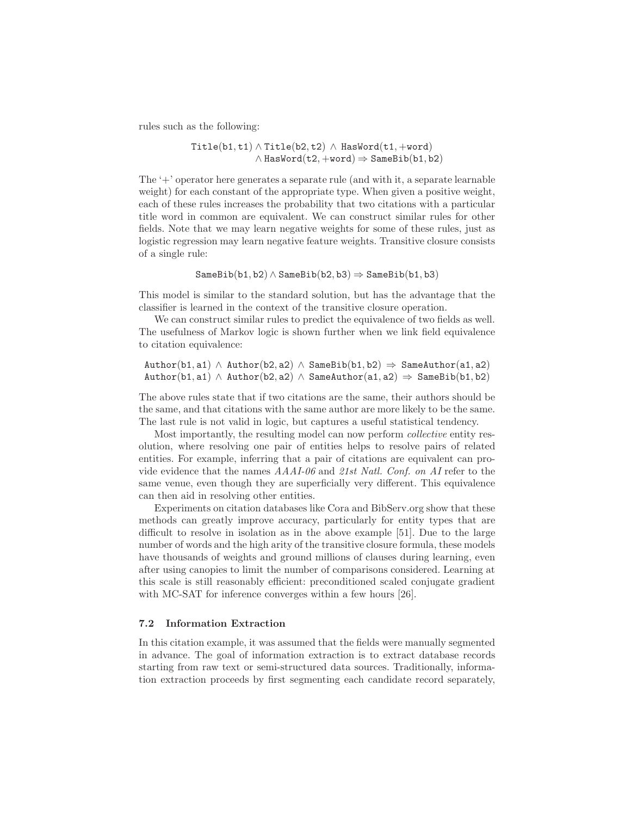rules such as the following:

$$
\begin{array}{c} \texttt{Title}(\texttt{b1}, \texttt{t1}) \land \texttt{Title}(\texttt{b2}, \texttt{t2}) \land \texttt{HasWord}(\texttt{t1}, + \texttt{word}) \\ \land \texttt{HasWord}(\texttt{t2}, + \texttt{word}) \Rightarrow \texttt{SameBib}(\texttt{b1}, \texttt{b2}) \end{array}
$$

The '+' operator here generates a separate rule (and with it, a separate learnable weight) for each constant of the appropriate type. When given a positive weight, each of these rules increases the probability that two citations with a particular title word in common are equivalent. We can construct similar rules for other fields. Note that we may learn negative weights for some of these rules, just as logistic regression may learn negative feature weights. Transitive closure consists of a single rule:

$$
SameBib(b1, b2) \land SameBib(b2, b3) \Rightarrow SameBib(b1, b3)
$$

This model is similar to the standard solution, but has the advantage that the classifier is learned in the context of the transitive closure operation.

We can construct similar rules to predict the equivalence of two fields as well. The usefulness of Markov logic is shown further when we link field equivalence to citation equivalence:

 $\text{Author}(b1, a1) \wedge \text{Author}(b2, a2) \wedge \text{SameBib}(b1, b2) \Rightarrow \text{SameAuthor}(a1, a2)$ Author(b1, a1)  $\land$  Author(b2, a2)  $\land$  SameAuthor(a1, a2)  $\Rightarrow$  SameBib(b1, b2)

The above rules state that if two citations are the same, their authors should be the same, and that citations with the same author are more likely to be the same. The last rule is not valid in logic, but captures a useful statistical tendency.

Most importantly, the resulting model can now perform collective entity resolution, where resolving one pair of entities helps to resolve pairs of related entities. For example, inferring that a pair of citations are equivalent can provide evidence that the names  $A A A I \text{-} 06$  and 21st Natl. Conf. on AI refer to the same venue, even though they are superficially very different. This equivalence can then aid in resolving other entities.

Experiments on citation databases like Cora and BibServ.org show that these methods can greatly improve accuracy, particularly for entity types that are difficult to resolve in isolation as in the above example [51]. Due to the large number of words and the high arity of the transitive closure formula, these models have thousands of weights and ground millions of clauses during learning, even after using canopies to limit the number of comparisons considered. Learning at this scale is still reasonably efficient: preconditioned scaled conjugate gradient with MC-SAT for inference converges within a few hours [26].

### 7.2 Information Extraction

In this citation example, it was assumed that the fields were manually segmented in advance. The goal of information extraction is to extract database records starting from raw text or semi-structured data sources. Traditionally, information extraction proceeds by first segmenting each candidate record separately,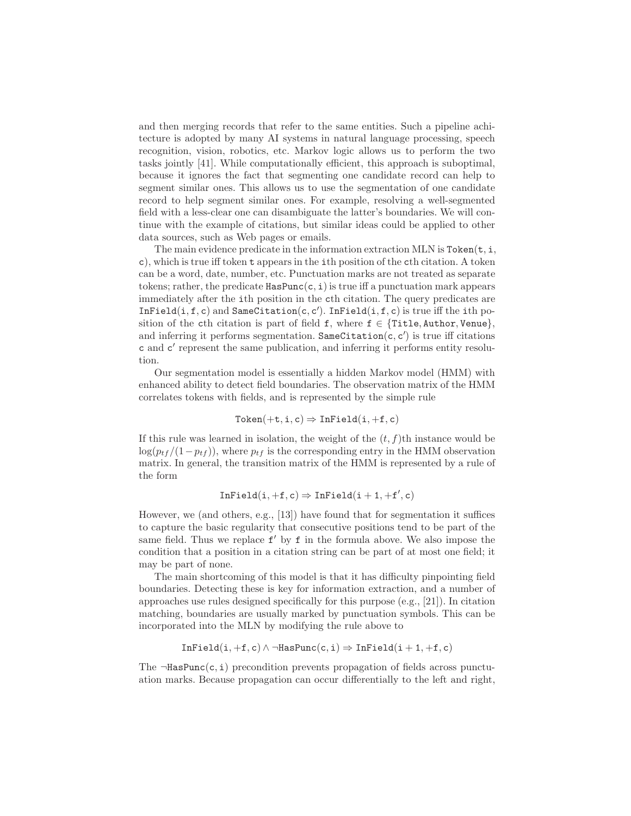and then merging records that refer to the same entities. Such a pipeline achitecture is adopted by many AI systems in natural language processing, speech recognition, vision, robotics, etc. Markov logic allows us to perform the two tasks jointly [41]. While computationally efficient, this approach is suboptimal, because it ignores the fact that segmenting one candidate record can help to segment similar ones. This allows us to use the segmentation of one candidate record to help segment similar ones. For example, resolving a well-segmented field with a less-clear one can disambiguate the latter's boundaries. We will continue with the example of citations, but similar ideas could be applied to other data sources, such as Web pages or emails.

The main evidence predicate in the information extraction MLN is  $Token(t, i, j)$ c), which is true iff token t appears in the ith position of the cth citation. A token can be a word, date, number, etc. Punctuation marks are not treated as separate tokens; rather, the predicate  $\text{HasPunc}(c, i)$  is true iff a punctuation mark appears immediately after the ith position in the cth citation. The query predicates are  $Infield(i, f, c)$  and  $SameCitation(c, c')$ .  $Infield(i, f, c)$  is true iff the ith position of the cth citation is part of field f, where  $f \in \{Title, Author, Venne\}$ , and inferring it performs segmentation.  $\texttt{SameCitation}(c, c')$  is true iff citations c and c' represent the same publication, and inferring it performs entity resolution.

Our segmentation model is essentially a hidden Markov model (HMM) with enhanced ability to detect field boundaries. The observation matrix of the HMM correlates tokens with fields, and is represented by the simple rule

$$
\mathtt{Token}(+\mathtt{t},\mathtt{i},\mathtt{c}) \Rightarrow \mathtt{Infield}(\mathtt{i},+\mathtt{f},\mathtt{c})
$$

If this rule was learned in isolation, the weight of the  $(t, f)$ th instance would be  $\log(p_{tf}/(1-p_{tf}))$ , where  $p_{tf}$  is the corresponding entry in the HMM observation matrix. In general, the transition matrix of the HMM is represented by a rule of the form

$$
{\tt InField}(i, +f, c) \Rightarrow {\tt InField}(i+1, +f', c)
$$

However, we (and others, e.g., [13]) have found that for segmentation it suffices to capture the basic regularity that consecutive positions tend to be part of the same field. Thus we replace  $f'$  by  $f$  in the formula above. We also impose the condition that a position in a citation string can be part of at most one field; it may be part of none.

The main shortcoming of this model is that it has difficulty pinpointing field boundaries. Detecting these is key for information extraction, and a number of approaches use rules designed specifically for this purpose (e.g., [21]). In citation matching, boundaries are usually marked by punctuation symbols. This can be incorporated into the MLN by modifying the rule above to

$$
{\tt InField}(i, +f, c) \land \neg {\tt HasPunc}(c, i) \Rightarrow {\tt InField}(i+1, +f, c)
$$

The  $\neg$ **HasPunc(c, i)** precondition prevents propagation of fields across punctuation marks. Because propagation can occur differentially to the left and right,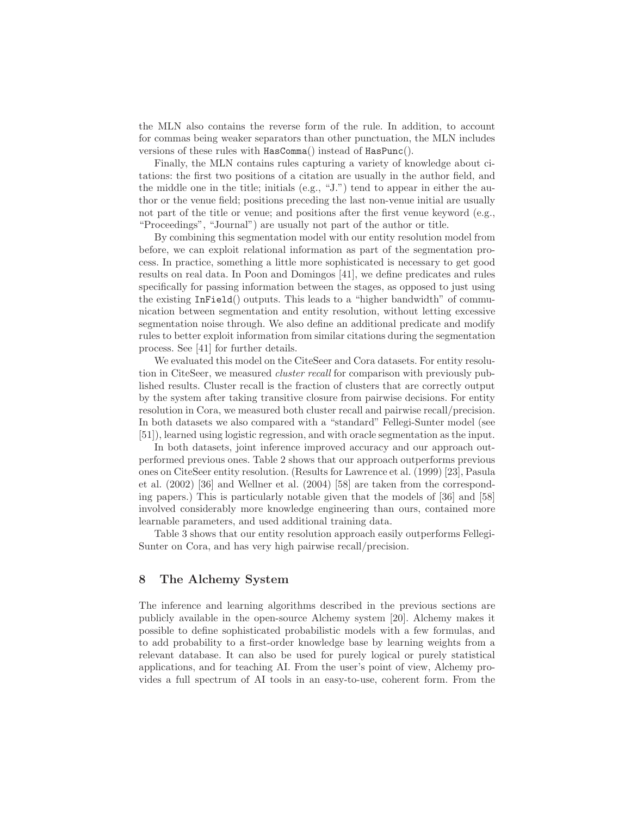the MLN also contains the reverse form of the rule. In addition, to account for commas being weaker separators than other punctuation, the MLN includes versions of these rules with HasComma() instead of HasPunc().

Finally, the MLN contains rules capturing a variety of knowledge about citations: the first two positions of a citation are usually in the author field, and the middle one in the title; initials (e.g., "J.") tend to appear in either the author or the venue field; positions preceding the last non-venue initial are usually not part of the title or venue; and positions after the first venue keyword (e.g., "Proceedings", "Journal") are usually not part of the author or title.

By combining this segmentation model with our entity resolution model from before, we can exploit relational information as part of the segmentation process. In practice, something a little more sophisticated is necessary to get good results on real data. In Poon and Domingos [41], we define predicates and rules specifically for passing information between the stages, as opposed to just using the existing InField() outputs. This leads to a "higher bandwidth" of communication between segmentation and entity resolution, without letting excessive segmentation noise through. We also define an additional predicate and modify rules to better exploit information from similar citations during the segmentation process. See [41] for further details.

We evaluated this model on the CiteSeer and Cora datasets. For entity resolution in CiteSeer, we measured *cluster recall* for comparison with previously published results. Cluster recall is the fraction of clusters that are correctly output by the system after taking transitive closure from pairwise decisions. For entity resolution in Cora, we measured both cluster recall and pairwise recall/precision. In both datasets we also compared with a "standard" Fellegi-Sunter model (see [51]), learned using logistic regression, and with oracle segmentation as the input.

In both datasets, joint inference improved accuracy and our approach outperformed previous ones. Table 2 shows that our approach outperforms previous ones on CiteSeer entity resolution. (Results for Lawrence et al. (1999) [23], Pasula et al. (2002) [36] and Wellner et al. (2004) [58] are taken from the corresponding papers.) This is particularly notable given that the models of [36] and [58] involved considerably more knowledge engineering than ours, contained more learnable parameters, and used additional training data.

Table 3 shows that our entity resolution approach easily outperforms Fellegi-Sunter on Cora, and has very high pairwise recall/precision.

## 8 The Alchemy System

The inference and learning algorithms described in the previous sections are publicly available in the open-source Alchemy system [20]. Alchemy makes it possible to define sophisticated probabilistic models with a few formulas, and to add probability to a first-order knowledge base by learning weights from a relevant database. It can also be used for purely logical or purely statistical applications, and for teaching AI. From the user's point of view, Alchemy provides a full spectrum of AI tools in an easy-to-use, coherent form. From the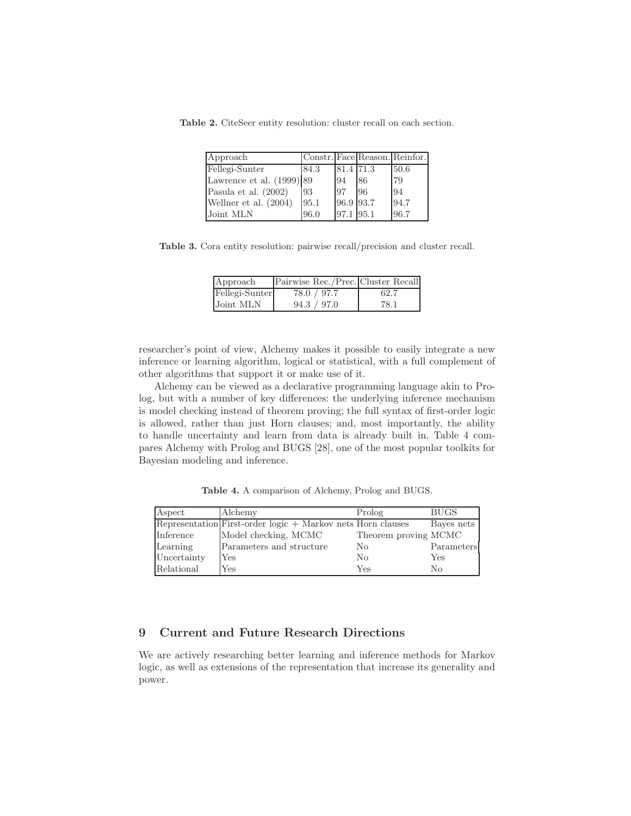Table 2. CiteSeer entity resolution: cluster recall on each section.

| Approach                    |      |           |    | Constr. Face Reason. Reinfor. |
|-----------------------------|------|-----------|----|-------------------------------|
| Fellegi-Sunter              | 84.3 | 81.4 71.3 |    | 50.6                          |
| Lawrence et al. $(1999)$ 89 |      | 94        | 86 | 79                            |
| Pasula et al. $(2002)$      | 93   | 97        | 96 | 94                            |
| Wellner et al. (2004)       | 95.1 | 96.9 93.7 |    | 94.7                          |
| Joint MLN                   | 96.0 | 97.1 95.1 |    | 96.7                          |

Table 3. Cora entity resolution: pairwise recall/precision and cluster recall.

| Approach       | Pairwise Rec./Prec. Cluster Recall |      |
|----------------|------------------------------------|------|
| Fellegi-Sunter | 78.0 / 97.7                        | 62.7 |
| Joint MLN      | 94.3 / 97.0                        | 78.1 |

researcher's point of view, Alchemy makes it possible to easily integrate a new inference or learning algorithm, logical or statistical, with a full complement of other algorithms that support it or make use of it.

Alchemy can be viewed as a declarative programming language akin to Prolog, but with a number of key differences: the underlying inference mechanism is model checking instead of theorem proving; the full syntax of first-order logic is allowed, rather than just Horn clauses; and, most importantly, the ability to handle uncertainty and learn from data is already built in. Table 4 compares Alchemy with Prolog and BUGS [28], one of the most popular toolkits for Bayesian modeling and inference.

Table 4. A comparison of Alchemy, Prolog and BUGS.

| Aspect      | Alchemy                                                     | Prolog               | <b>BUGS</b> |
|-------------|-------------------------------------------------------------|----------------------|-------------|
|             | Representation First-order logic + Markov nets Horn clauses |                      | Bayes nets  |
| Inference   | Model checking, MCMC                                        | Theorem proving MCMC |             |
| Learning    | Parameters and structure                                    | No                   | Parameters  |
| Uncertainty | Yes                                                         | Nο                   | Yes         |
| Relational  | Yes                                                         | Yes                  | No          |

# 9 Current and Future Research Directions

We are actively researching better learning and inference methods for Markov logic, as well as extensions of the representation that increase its generality and power.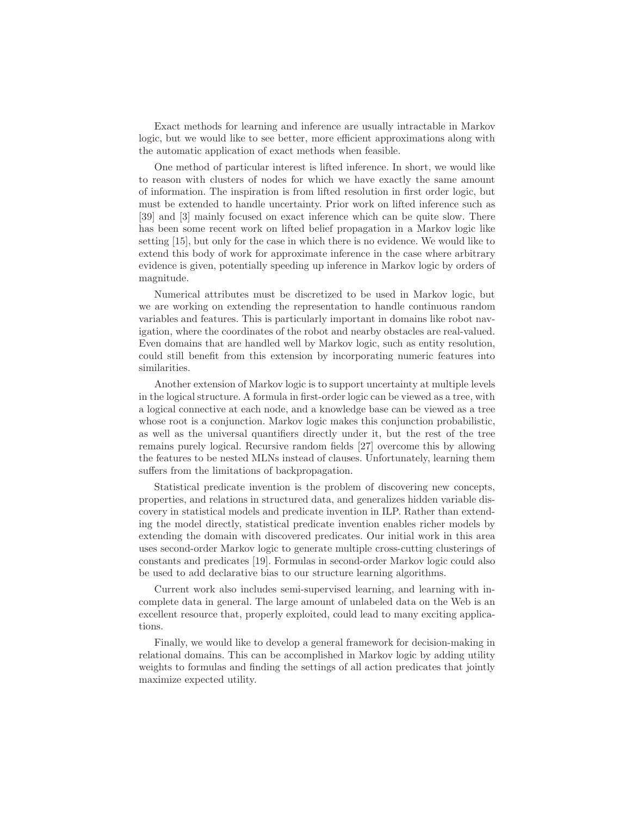Exact methods for learning and inference are usually intractable in Markov logic, but we would like to see better, more efficient approximations along with the automatic application of exact methods when feasible.

One method of particular interest is lifted inference. In short, we would like to reason with clusters of nodes for which we have exactly the same amount of information. The inspiration is from lifted resolution in first order logic, but must be extended to handle uncertainty. Prior work on lifted inference such as [39] and [3] mainly focused on exact inference which can be quite slow. There has been some recent work on lifted belief propagation in a Markov logic like setting [15], but only for the case in which there is no evidence. We would like to extend this body of work for approximate inference in the case where arbitrary evidence is given, potentially speeding up inference in Markov logic by orders of magnitude.

Numerical attributes must be discretized to be used in Markov logic, but we are working on extending the representation to handle continuous random variables and features. This is particularly important in domains like robot navigation, where the coordinates of the robot and nearby obstacles are real-valued. Even domains that are handled well by Markov logic, such as entity resolution, could still benefit from this extension by incorporating numeric features into similarities.

Another extension of Markov logic is to support uncertainty at multiple levels in the logical structure. A formula in first-order logic can be viewed as a tree, with a logical connective at each node, and a knowledge base can be viewed as a tree whose root is a conjunction. Markov logic makes this conjunction probabilistic, as well as the universal quantifiers directly under it, but the rest of the tree remains purely logical. Recursive random fields [27] overcome this by allowing the features to be nested MLNs instead of clauses. Unfortunately, learning them suffers from the limitations of backpropagation.

Statistical predicate invention is the problem of discovering new concepts, properties, and relations in structured data, and generalizes hidden variable discovery in statistical models and predicate invention in ILP. Rather than extending the model directly, statistical predicate invention enables richer models by extending the domain with discovered predicates. Our initial work in this area uses second-order Markov logic to generate multiple cross-cutting clusterings of constants and predicates [19]. Formulas in second-order Markov logic could also be used to add declarative bias to our structure learning algorithms.

Current work also includes semi-supervised learning, and learning with incomplete data in general. The large amount of unlabeled data on the Web is an excellent resource that, properly exploited, could lead to many exciting applications.

Finally, we would like to develop a general framework for decision-making in relational domains. This can be accomplished in Markov logic by adding utility weights to formulas and finding the settings of all action predicates that jointly maximize expected utility.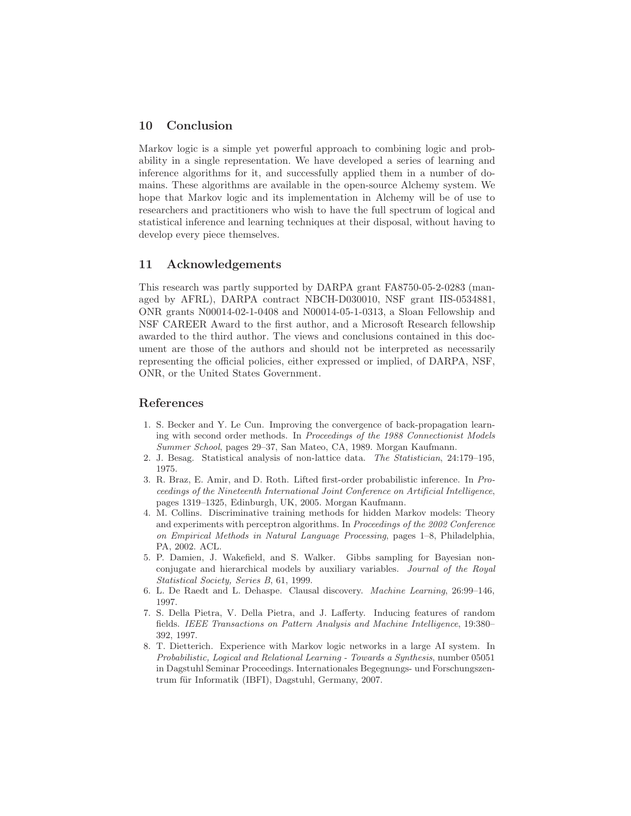# 10 Conclusion

Markov logic is a simple yet powerful approach to combining logic and probability in a single representation. We have developed a series of learning and inference algorithms for it, and successfully applied them in a number of domains. These algorithms are available in the open-source Alchemy system. We hope that Markov logic and its implementation in Alchemy will be of use to researchers and practitioners who wish to have the full spectrum of logical and statistical inference and learning techniques at their disposal, without having to develop every piece themselves.

### 11 Acknowledgements

This research was partly supported by DARPA grant FA8750-05-2-0283 (managed by AFRL), DARPA contract NBCH-D030010, NSF grant IIS-0534881, ONR grants N00014-02-1-0408 and N00014-05-1-0313, a Sloan Fellowship and NSF CAREER Award to the first author, and a Microsoft Research fellowship awarded to the third author. The views and conclusions contained in this document are those of the authors and should not be interpreted as necessarily representing the official policies, either expressed or implied, of DARPA, NSF, ONR, or the United States Government.

# References

- 1. S. Becker and Y. Le Cun. Improving the convergence of back-propagation learning with second order methods. In Proceedings of the 1988 Connectionist Models Summer School, pages 29–37, San Mateo, CA, 1989. Morgan Kaufmann.
- 2. J. Besag. Statistical analysis of non-lattice data. The Statistician, 24:179–195, 1975.
- 3. R. Braz, E. Amir, and D. Roth. Lifted first-order probabilistic inference. In Proceedings of the Nineteenth International Joint Conference on Artificial Intelligence, pages 1319–1325, Edinburgh, UK, 2005. Morgan Kaufmann.
- 4. M. Collins. Discriminative training methods for hidden Markov models: Theory and experiments with perceptron algorithms. In Proceedings of the 2002 Conference on Empirical Methods in Natural Language Processing, pages 1–8, Philadelphia, PA, 2002. ACL.
- 5. P. Damien, J. Wakefield, and S. Walker. Gibbs sampling for Bayesian nonconjugate and hierarchical models by auxiliary variables. Journal of the Royal Statistical Society, Series B, 61, 1999.
- 6. L. De Raedt and L. Dehaspe. Clausal discovery. Machine Learning, 26:99–146, 1997.
- 7. S. Della Pietra, V. Della Pietra, and J. Lafferty. Inducing features of random fields. IEEE Transactions on Pattern Analysis and Machine Intelligence, 19:380– 392, 1997.
- 8. T. Dietterich. Experience with Markov logic networks in a large AI system. In Probabilistic, Logical and Relational Learning - Towards a Synthesis, number 05051 in Dagstuhl Seminar Proceedings. Internationales Begegnungs- und Forschungszentrum für Informatik (IBFI), Dagstuhl, Germany, 2007.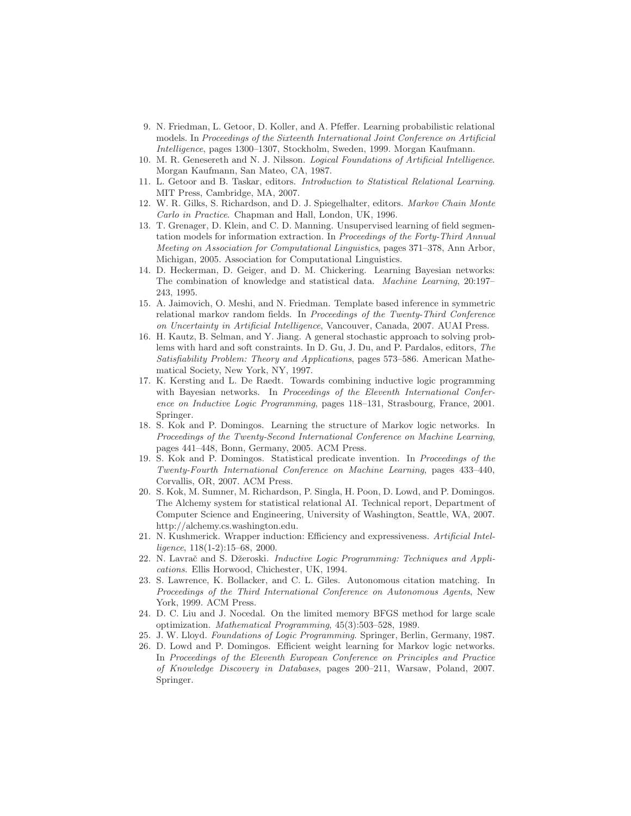- 9. N. Friedman, L. Getoor, D. Koller, and A. Pfeffer. Learning probabilistic relational models. In Proceedings of the Sixteenth International Joint Conference on Artificial Intelligence, pages 1300–1307, Stockholm, Sweden, 1999. Morgan Kaufmann.
- 10. M. R. Genesereth and N. J. Nilsson. Logical Foundations of Artificial Intelligence. Morgan Kaufmann, San Mateo, CA, 1987.
- 11. L. Getoor and B. Taskar, editors. Introduction to Statistical Relational Learning. MIT Press, Cambridge, MA, 2007.
- 12. W. R. Gilks, S. Richardson, and D. J. Spiegelhalter, editors. Markov Chain Monte Carlo in Practice. Chapman and Hall, London, UK, 1996.
- 13. T. Grenager, D. Klein, and C. D. Manning. Unsupervised learning of field segmentation models for information extraction. In Proceedings of the Forty-Third Annual Meeting on Association for Computational Linguistics, pages 371–378, Ann Arbor, Michigan, 2005. Association for Computational Linguistics.
- 14. D. Heckerman, D. Geiger, and D. M. Chickering. Learning Bayesian networks: The combination of knowledge and statistical data. Machine Learning, 20:197– 243, 1995.
- 15. A. Jaimovich, O. Meshi, and N. Friedman. Template based inference in symmetric relational markov random fields. In Proceedings of the Twenty-Third Conference on Uncertainty in Artificial Intelligence, Vancouver, Canada, 2007. AUAI Press.
- 16. H. Kautz, B. Selman, and Y. Jiang. A general stochastic approach to solving problems with hard and soft constraints. In D. Gu, J. Du, and P. Pardalos, editors, The Satisfiability Problem: Theory and Applications, pages 573–586. American Mathematical Society, New York, NY, 1997.
- 17. K. Kersting and L. De Raedt. Towards combining inductive logic programming with Bayesian networks. In Proceedings of the Eleventh International Conference on Inductive Logic Programming, pages 118–131, Strasbourg, France, 2001. Springer.
- 18. S. Kok and P. Domingos. Learning the structure of Markov logic networks. In Proceedings of the Twenty-Second International Conference on Machine Learning, pages 441–448, Bonn, Germany, 2005. ACM Press.
- 19. S. Kok and P. Domingos. Statistical predicate invention. In Proceedings of the Twenty-Fourth International Conference on Machine Learning, pages 433–440, Corvallis, OR, 2007. ACM Press.
- 20. S. Kok, M. Sumner, M. Richardson, P. Singla, H. Poon, D. Lowd, and P. Domingos. The Alchemy system for statistical relational AI. Technical report, Department of Computer Science and Engineering, University of Washington, Seattle, WA, 2007. http://alchemy.cs.washington.edu.
- 21. N. Kushmerick. Wrapper induction: Efficiency and expressiveness. Artificial Intelligence, 118(1-2):15–68, 2000.
- 22. N. Lavrač and S. Džeroski. Inductive Logic Programming: Techniques and Applications. Ellis Horwood, Chichester, UK, 1994.
- 23. S. Lawrence, K. Bollacker, and C. L. Giles. Autonomous citation matching. In Proceedings of the Third International Conference on Autonomous Agents, New York, 1999. ACM Press.
- 24. D. C. Liu and J. Nocedal. On the limited memory BFGS method for large scale optimization. Mathematical Programming, 45(3):503–528, 1989.
- 25. J. W. Lloyd. Foundations of Logic Programming. Springer, Berlin, Germany, 1987.
- 26. D. Lowd and P. Domingos. Efficient weight learning for Markov logic networks. In Proceedings of the Eleventh European Conference on Principles and Practice of Knowledge Discovery in Databases, pages 200–211, Warsaw, Poland, 2007. Springer.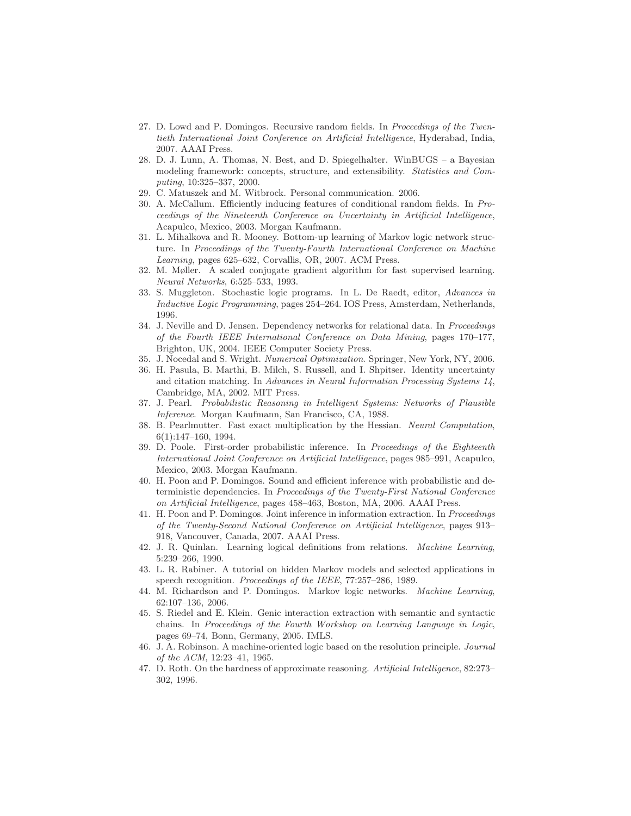- 27. D. Lowd and P. Domingos. Recursive random fields. In Proceedings of the Twentieth International Joint Conference on Artificial Intelligence, Hyderabad, India, 2007. AAAI Press.
- 28. D. J. Lunn, A. Thomas, N. Best, and D. Spiegelhalter. WinBUGS a Bayesian modeling framework: concepts, structure, and extensibility. Statistics and Computing, 10:325–337, 2000.
- 29. C. Matuszek and M. Witbrock. Personal communication. 2006.
- 30. A. McCallum. Efficiently inducing features of conditional random fields. In Proceedings of the Nineteenth Conference on Uncertainty in Artificial Intelligence, Acapulco, Mexico, 2003. Morgan Kaufmann.
- 31. L. Mihalkova and R. Mooney. Bottom-up learning of Markov logic network structure. In Proceedings of the Twenty-Fourth International Conference on Machine Learning, pages 625–632, Corvallis, OR, 2007. ACM Press.
- 32. M. Møller. A scaled conjugate gradient algorithm for fast supervised learning. Neural Networks, 6:525–533, 1993.
- 33. S. Muggleton. Stochastic logic programs. In L. De Raedt, editor, Advances in Inductive Logic Programming, pages 254–264. IOS Press, Amsterdam, Netherlands, 1996.
- 34. J. Neville and D. Jensen. Dependency networks for relational data. In Proceedings of the Fourth IEEE International Conference on Data Mining, pages 170–177, Brighton, UK, 2004. IEEE Computer Society Press.
- 35. J. Nocedal and S. Wright. Numerical Optimization. Springer, New York, NY, 2006.
- 36. H. Pasula, B. Marthi, B. Milch, S. Russell, and I. Shpitser. Identity uncertainty and citation matching. In Advances in Neural Information Processing Systems 14, Cambridge, MA, 2002. MIT Press.
- 37. J. Pearl. Probabilistic Reasoning in Intelligent Systems: Networks of Plausible Inference. Morgan Kaufmann, San Francisco, CA, 1988.
- 38. B. Pearlmutter. Fast exact multiplication by the Hessian. Neural Computation, 6(1):147–160, 1994.
- 39. D. Poole. First-order probabilistic inference. In Proceedings of the Eighteenth International Joint Conference on Artificial Intelligence, pages 985–991, Acapulco, Mexico, 2003. Morgan Kaufmann.
- 40. H. Poon and P. Domingos. Sound and efficient inference with probabilistic and deterministic dependencies. In Proceedings of the Twenty-First National Conference on Artificial Intelligence, pages 458–463, Boston, MA, 2006. AAAI Press.
- 41. H. Poon and P. Domingos. Joint inference in information extraction. In Proceedings of the Twenty-Second National Conference on Artificial Intelligence, pages 913– 918, Vancouver, Canada, 2007. AAAI Press.
- 42. J. R. Quinlan. Learning logical definitions from relations. Machine Learning, 5:239–266, 1990.
- 43. L. R. Rabiner. A tutorial on hidden Markov models and selected applications in speech recognition. Proceedings of the IEEE, 77:257–286, 1989.
- 44. M. Richardson and P. Domingos. Markov logic networks. Machine Learning, 62:107–136, 2006.
- 45. S. Riedel and E. Klein. Genic interaction extraction with semantic and syntactic chains. In Proceedings of the Fourth Workshop on Learning Language in Logic, pages 69–74, Bonn, Germany, 2005. IMLS.
- 46. J. A. Robinson. A machine-oriented logic based on the resolution principle. Journal of the ACM, 12:23–41, 1965.
- 47. D. Roth. On the hardness of approximate reasoning. Artificial Intelligence, 82:273– 302, 1996.